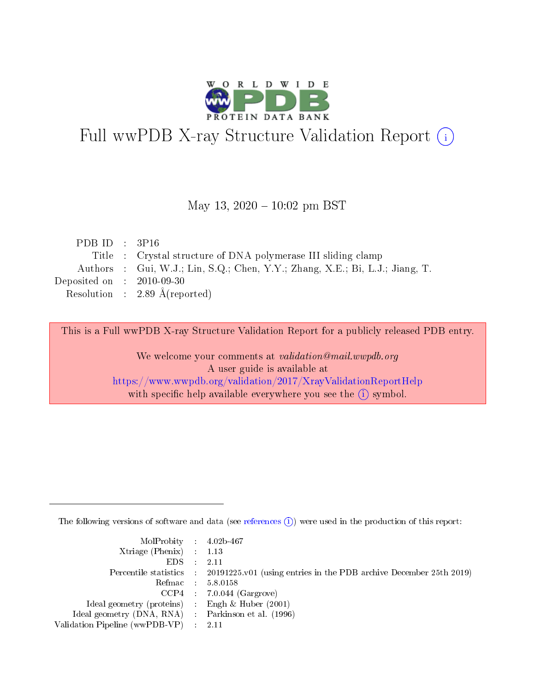

# Full wwPDB X-ray Structure Validation Report (i)

#### May 13,  $2020 - 10:02$  pm BST

| PDB ID : $3P16$             |                                                                              |
|-----------------------------|------------------------------------------------------------------------------|
|                             | Title : Crystal structure of DNA polymerase III sliding clamp                |
|                             | Authors : Gui, W.J.; Lin, S.Q.; Chen, Y.Y.; Zhang, X.E.; Bi, L.J.; Jiang, T. |
| Deposited on : $2010-09-30$ |                                                                              |
|                             | Resolution : 2.89 $\AA$ (reported)                                           |

This is a Full wwPDB X-ray Structure Validation Report for a publicly released PDB entry.

We welcome your comments at validation@mail.wwpdb.org A user guide is available at <https://www.wwpdb.org/validation/2017/XrayValidationReportHelp> with specific help available everywhere you see the  $(i)$  symbol.

The following versions of software and data (see [references](https://www.wwpdb.org/validation/2017/XrayValidationReportHelp#references)  $(i)$ ) were used in the production of this report:

| $MolProbability$ 4.02b-467                          |                                                                                            |
|-----------------------------------------------------|--------------------------------------------------------------------------------------------|
| Xtriage (Phenix) $: 1.13$                           |                                                                                            |
| $EDS$ :                                             | -2.11                                                                                      |
|                                                     | Percentile statistics : 20191225.v01 (using entries in the PDB archive December 25th 2019) |
|                                                     | Refmac : 5.8.0158                                                                          |
|                                                     | $CCP4$ : 7.0.044 (Gargrove)                                                                |
| Ideal geometry (proteins) : Engh $\&$ Huber (2001)  |                                                                                            |
| Ideal geometry (DNA, RNA) : Parkinson et al. (1996) |                                                                                            |
| Validation Pipeline (wwPDB-VP)                      | -2.11                                                                                      |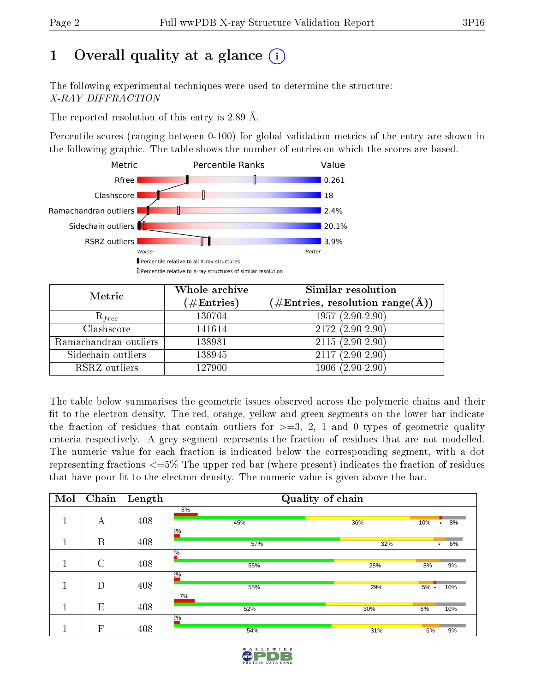# 1 [O](https://www.wwpdb.org/validation/2017/XrayValidationReportHelp#overall_quality)verall quality at a glance  $(i)$

The following experimental techniques were used to determine the structure: X-RAY DIFFRACTION

The reported resolution of this entry is 2.89 Å.

Percentile scores (ranging between 0-100) for global validation metrics of the entry are shown in the following graphic. The table shows the number of entries on which the scores are based.



| Metric                | Whole archive<br>$(\#\mathrm{Entries})$ | Similar resolution<br>$(\#\text{Entries},\,\text{resolution}\,\,\text{range}(\textup{\AA}))$ |  |  |
|-----------------------|-----------------------------------------|----------------------------------------------------------------------------------------------|--|--|
| $R_{free}$            | 130704                                  | $1957(2.90-2.90)$                                                                            |  |  |
| Clashscore            | 141614                                  | $2172(2.90-2.90)$                                                                            |  |  |
| Ramachandran outliers | 138981                                  | $2115(2.90-2.90)$                                                                            |  |  |
| Sidechain outliers    | 138945                                  | $2117(2.90-2.90)$                                                                            |  |  |
| RSRZ outliers         | 127900                                  | $1906(2.90-2.90)$                                                                            |  |  |

The table below summarises the geometric issues observed across the polymeric chains and their fit to the electron density. The red, orange, yellow and green segments on the lower bar indicate the fraction of residues that contain outliers for  $>=3, 2, 1$  and 0 types of geometric quality criteria respectively. A grey segment represents the fraction of residues that are not modelled. The numeric value for each fraction is indicated below the corresponding segment, with a dot representing fractions  $\epsilon=5\%$  The upper red bar (where present) indicates the fraction of residues that have poor fit to the electron density. The numeric value is given above the bar.

| Mol | Chain          | Length | Quality of chain |     |                 |
|-----|----------------|--------|------------------|-----|-----------------|
|     | А              | 408    | 8%<br>45%        | 36% | 10%<br>8%       |
|     |                |        | 2%               |     | $\bullet$       |
|     | B              | 408    | 57%              | 32% | 6%<br>$\bullet$ |
|     | $\overline{C}$ | 408    | $\%$             |     |                 |
|     |                |        | 55%<br>2%        | 28% | 8%<br>9%        |
|     | D              | 408    | 55%              | 29% | $5%$ .<br>10%   |
|     |                |        | 7%               |     |                 |
|     | E              | 408    | 52%<br>2%        | 30% | 8%<br>10%       |
|     | $\mathbf{F}$   | 408    | 54%              | 31% | 6%<br>9%        |

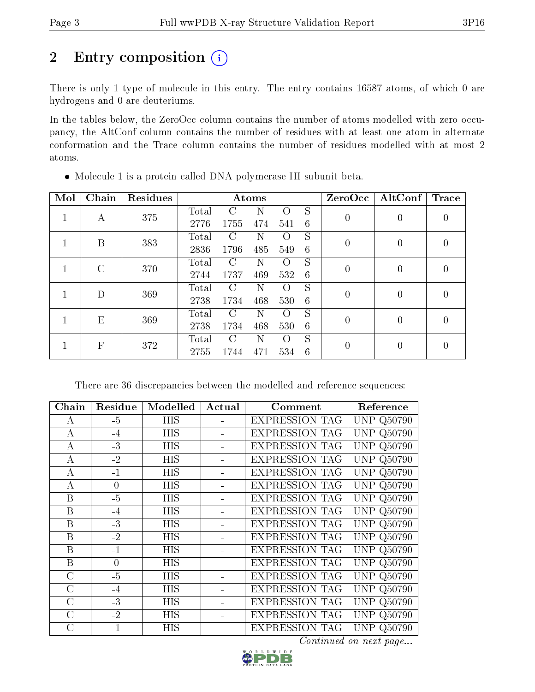# 2 Entry composition (i)

There is only 1 type of molecule in this entry. The entry contains 16587 atoms, of which 0 are hydrogens and 0 are deuteriums.

In the tables below, the ZeroOcc column contains the number of atoms modelled with zero occupancy, the AltConf column contains the number of residues with at least one atom in alternate conformation and the Trace column contains the number of residues modelled with at most 2 atoms.

| Mol | Chain         | Residues |       |               | Atoms |                  |   | ZeroOcc        | $\rm AltConf$ | $\operatorname{Trace}$ |
|-----|---------------|----------|-------|---------------|-------|------------------|---|----------------|---------------|------------------------|
|     | А             | 375      | Total | C             | N     | $\Omega$         | S | $\overline{0}$ | 0             | 0                      |
|     |               |          | 2776  | 1755          | 474   | 541              | 6 |                |               |                        |
|     | B             | 383      | Total | C             | Ν     | $\left( \right)$ | S | $\overline{0}$ | 0             | $\left( \right)$       |
|     |               |          | 2836  | 1796          | 485   | 549              | 6 |                |               |                        |
|     | $\mathcal{C}$ | 370      | Total | $\bigcap$     | N     | $\bigcirc$       | S | $\overline{0}$ | 0             | 0                      |
|     |               |          | 2744  | 1737          | 469   | 532              | 6 |                |               |                        |
|     | D             | 369      | Total | $\mathcal{C}$ | N     | $\left($         | S | $\theta$       | 0             | 0                      |
|     |               |          | 2738  | 1734          | 468   | 530              | 6 |                |               |                        |
|     | E             | 369      | Total | C             | N     | $\left( \right)$ | S | $\theta$       | 0             | $\left( \right)$       |
|     |               |          | 2738  | 1734          | 468   | 530              | 6 |                |               |                        |
|     | F             | 372      | Total | $\cap$        | N     | $\Omega$         | S | $\overline{0}$ | 0             | 0                      |
|     |               |          | 2755  | 1744          | 471   | 534              | 6 |                |               |                        |

Molecule 1 is a protein called DNA polymerase III subunit beta.

There are 36 discrepancies between the modelled and reference sequences:

| Chain          | Residue        | Modelled   | Actual | Comment               | Reference                   |
|----------------|----------------|------------|--------|-----------------------|-----------------------------|
| A              | $-5$           | <b>HIS</b> |        | <b>EXPRESSION TAG</b> | Q <sub>50</sub> 790<br>UNP. |
| $\bf{A}$       | $-4$           | <b>HIS</b> |        | <b>EXPRESSION TAG</b> | Q50790<br>UNP               |
| А              | $-3$           | HIS        |        | <b>EXPRESSION TAG</b> | Q50790<br>UNP-              |
| А              | $-2$           | HIS        |        | <b>EXPRESSION TAG</b> | Q50790<br>UNP               |
| А              | $-1$           | HIS        |        | <b>EXPRESSION TAG</b> | UNP.<br>Q50790              |
| А              | $\overline{0}$ | HIS        |        | <b>EXPRESSION TAG</b> | UNP<br>Q50790               |
| B              | $-5$           | HIS        |        | <b>EXPRESSION TAG</b> | UNP<br>Q50790               |
| B              | $-4$           | HIS        |        | <b>EXPRESSION TAG</b> | UNP.<br>Q <sub>50</sub> 790 |
| B              | $-3$           | HIS        |        | <b>EXPRESSION TAG</b> | Q <sub>50</sub> 790<br>UNP. |
| B              | $-2$           | HIS        |        | <b>EXPRESSION TAG</b> | <b>UNP Q50790</b>           |
| B              | $-1$           | HIS        |        | <b>EXPRESSION TAG</b> | <b>UNP Q50790</b>           |
| B              | $\overline{0}$ | <b>HIS</b> |        | <b>EXPRESSION TAG</b> | <b>UNP Q50790</b>           |
| $\overline{C}$ | $-5$           | HIS        |        | <b>EXPRESSION TAG</b> | UNP.<br>Q50790              |
| $\rm C$        | $-4$           | HIS        |        | <b>EXPRESSION TAG</b> | <b>UNP</b><br>Q50790        |
| $\rm C$        | $-3$           | <b>HIS</b> |        | <b>EXPRESSION TAG</b> | UNP<br>Q <sub>50</sub> 790  |
| $\mathcal{C}$  | $-2$           | HIS        |        | <b>EXPRESSION TAG</b> | Q50790<br>UNP               |
| $\overline{C}$ | $-1$           | HIS        |        | <b>EXPRESSION TAG</b> | UNP.<br>Q50790              |

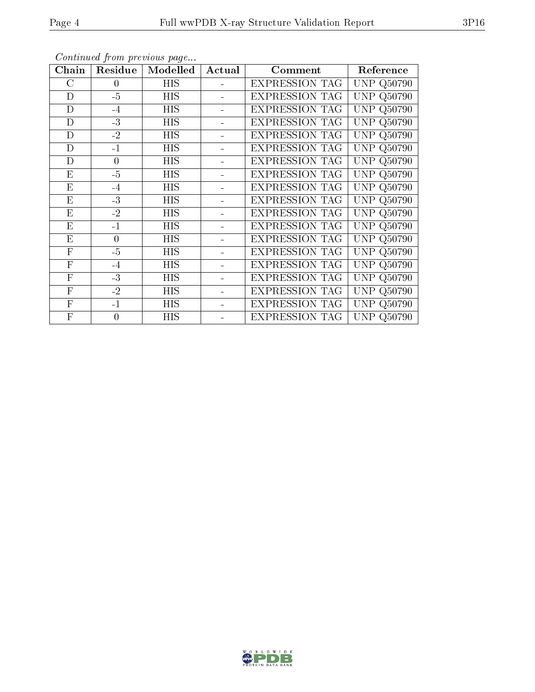| Chain              | Residue        | Modelled   | Actual | Comment               | Reference                         |
|--------------------|----------------|------------|--------|-----------------------|-----------------------------------|
| $\overline{\rm C}$ | $\overline{0}$ | HIS        |        | <b>EXPRESSION TAG</b> | <b>UNP Q50790</b>                 |
| D                  | $-5$           | HIS        |        | <b>EXPRESSION TAG</b> | UNP<br>Q50790                     |
| D                  | $-4$           | HIS        |        | <b>EXPRESSION TAG</b> | UNP<br>Q50790                     |
| D                  | $-3$           | ΗIS        |        | <b>EXPRESSION TAG</b> | <b>UNP Q50790</b>                 |
| D                  | $-2$           | HIS        |        | <b>EXPRESSION TAG</b> | <b>UNP Q50790</b>                 |
| D                  | $-1$           | HIS        |        | <b>EXPRESSION TAG</b> | <b>UNP Q50790</b>                 |
| D                  | $\theta$       | <b>HIS</b> |        | <b>EXPRESSION TAG</b> | <b>UNP Q50790</b>                 |
| E                  | $-5$           | HIS        |        | <b>EXPRESSION TAG</b> | <b>UNP Q50790</b>                 |
| E                  | $-4$           | ΗIS        |        | <b>EXPRESSION TAG</b> | <b>UNP Q50790</b>                 |
| E                  | $-3$           | HIS        |        | <b>EXPRESSION TAG</b> | <b>UNP</b><br>Q50790              |
| Ε                  | $-2$           | НIS        |        | <b>EXPRESSION TAG</b> | UNP<br>Q <sub>50</sub> 790        |
| E                  | $-1$           | HIS        |        | <b>EXPRESSION TAG</b> | Q50790<br>UNP                     |
| E                  | $\overline{0}$ | <b>HIS</b> |        | <b>EXPRESSION TAG</b> | <b>UNP Q50790</b>                 |
| $\mathbf{F}$       | $-5$           | HIS        |        | <b>EXPRESSION TAG</b> | UNP<br>Q50790                     |
| $\mathbf{F}$       | $-4$           | <b>HIS</b> |        | <b>EXPRESSION TAG</b> | UNP<br>Q50790                     |
| $\mathbf{F}$       | $-3$           | HIS        |        | <b>EXPRESSION TAG</b> | UNP<br>Q <sub>50</sub> 790        |
| $\mathbf{F}$       | $-2$           | ΗIS        |        | <b>EXPRESSION TAG</b> | <b>UNP</b><br>Q50790              |
| ${\bf F}$          | $-1$           | HIS        |        | <b>EXPRESSION TAG</b> | <b>UNP</b><br>Q <sub>50</sub> 790 |
| $\mathbf{F}$       | $\overline{0}$ | HIS        |        | <b>EXPRESSION TAG</b> | <b>UNP Q50790</b>                 |

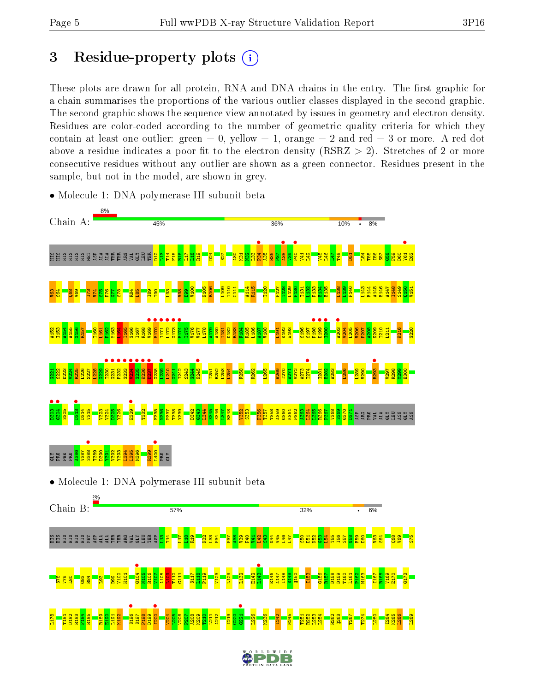# 3 Residue-property plots  $(i)$

These plots are drawn for all protein, RNA and DNA chains in the entry. The first graphic for a chain summarises the proportions of the various outlier classes displayed in the second graphic. The second graphic shows the sequence view annotated by issues in geometry and electron density. Residues are color-coded according to the number of geometric quality criteria for which they contain at least one outlier: green  $= 0$ , yellow  $= 1$ , orange  $= 2$  and red  $= 3$  or more. A red dot above a residue indicates a poor fit to the electron density (RSRZ  $> 2$ ). Stretches of 2 or more consecutive residues without any outlier are shown as a green connector. Residues present in the sample, but not in the model, are shown in grey.



• Molecule 1: DNA polymerase III subunit beta



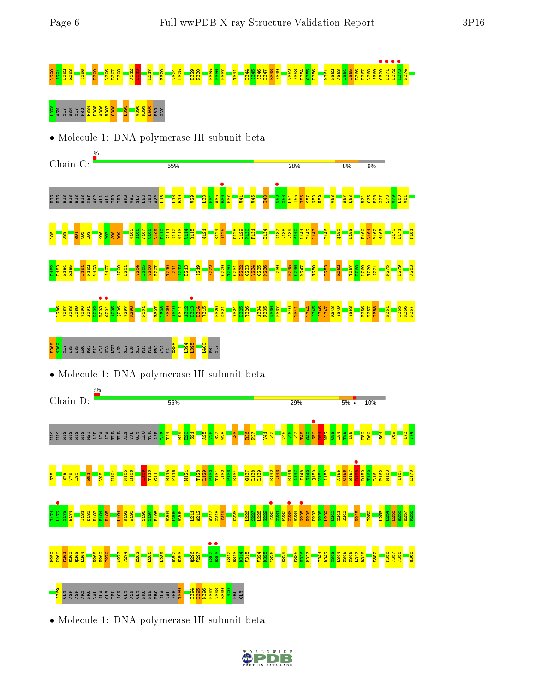# V290 A291 D292 R293 Q296 E300 V306 R307 L308 A312 D313 R317 E320 V324 D325 E329 P330 F335 N336 P337 T341 L344 S345 S346 L347 R348 S349 V352 S353 F354 G355 F356 K361 P362 A363 L364 L365 R366 P367 V368 S369 G370 • D371 • D372 • R373 • P374

# <mark>u</mark> ghy a she <mark>a s s s s s a la la la s s s</mark> s h<br><mark>a</mark> ghy a s s <mark>a s s s s s s s s s s s</mark> s





• Molecule 1: DNA polymerase III subunit beta



• Molecule 1: DNA polymerase III subunit beta

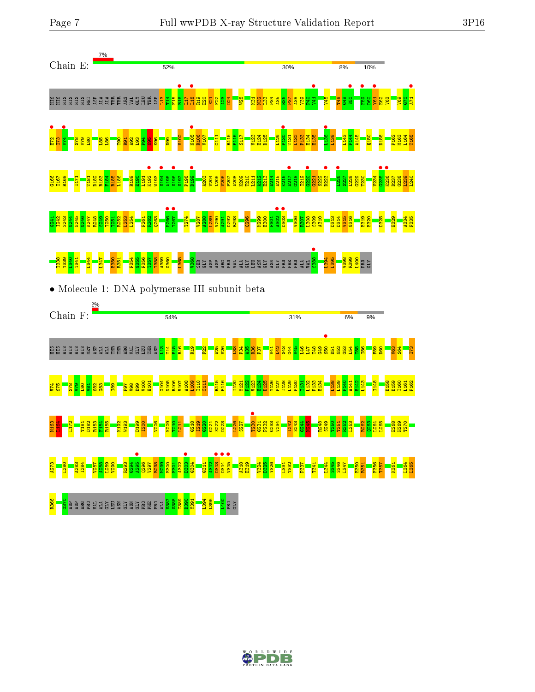



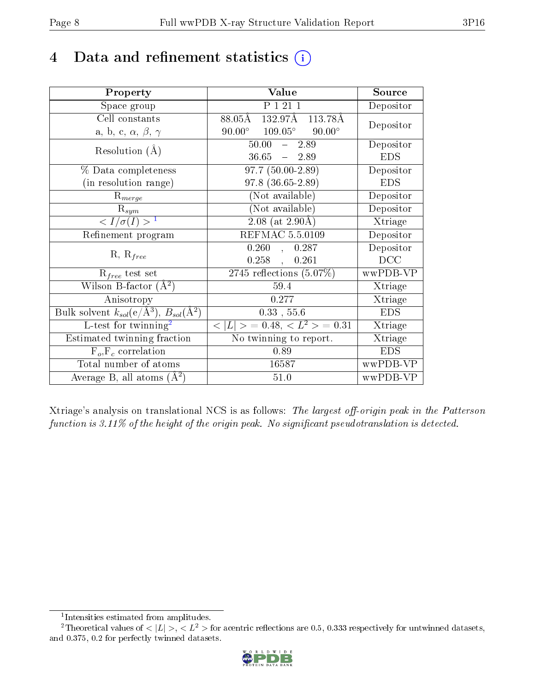# 4 Data and refinement statistics  $(i)$

| Property                                                         | Value                                            | Source     |
|------------------------------------------------------------------|--------------------------------------------------|------------|
| Space group                                                      | $\overline{P1211}$                               | Depositor  |
| Cell constants                                                   | 132.97Å 113.78Å<br>$88.05\text{\AA}$             | Depositor  |
| a, b, c, $\alpha$ , $\beta$ , $\gamma$                           | $90.00^{\circ}$ $109.05^{\circ}$ $90.00^{\circ}$ |            |
| Resolution $(A)$                                                 | $50.00 - 2.89$                                   | Depositor  |
|                                                                  | $36.65 - 2.89$                                   | <b>EDS</b> |
| % Data completeness                                              | $97.7(50.00-2.89)$                               | Depositor  |
| (in resolution range)                                            | $97.8$ $(36.65-2.89)$                            | <b>EDS</b> |
| $R_{merge}$                                                      | (Not available)                                  | Depositor  |
| $\mathrm{R}_{sym}$                                               | (Not available)                                  | Depositor  |
| $\langle I/\sigma(I) \rangle^{-1}$                               | $2.08$ (at 2.90Å)                                | Xtriage    |
| Refinement program                                               | REFMAC 5.5.0109                                  | Depositor  |
|                                                                  | 0.260,<br>0.287                                  | Depositor  |
| $R, R_{free}$                                                    | 0.258,<br>0.261                                  | DCC        |
| $\mathcal{R}_{free}$ test set                                    | $2745$ reflections $(5.07\%)$                    | wwPDB-VP   |
| Wilson B-factor $(A^2)$                                          | 59.4                                             | Xtriage    |
| Anisotropy                                                       | 0.277                                            | Xtriage    |
| Bulk solvent $k_{sol}(\text{e}/\text{A}^3), B_{sol}(\text{A}^2)$ | $0.33$ , 55.6                                    | <b>EDS</b> |
| L-test for $\overline{\text{twinning}}^2$                        | $< L >$ = 0.48, $< L2 >$ = 0.31                  | Xtriage    |
| Estimated twinning fraction                                      | No twinning to report.                           | Xtriage    |
| $F_o, F_c$ correlation                                           | 0.89                                             | <b>EDS</b> |
| Total number of atoms                                            | 16587                                            | wwPDB-VP   |
| Average B, all atoms $(A^2)$                                     | 51.0                                             | wwPDB-VP   |

Xtriage's analysis on translational NCS is as follows: The largest off-origin peak in the Patterson function is  $3.11\%$  of the height of the origin peak. No significant pseudotranslation is detected.

<sup>&</sup>lt;sup>2</sup>Theoretical values of  $\langle |L| \rangle$ ,  $\langle L^2 \rangle$  for acentric reflections are 0.5, 0.333 respectively for untwinned datasets, and 0.375, 0.2 for perfectly twinned datasets.



<span id="page-7-1"></span><span id="page-7-0"></span><sup>1</sup> Intensities estimated from amplitudes.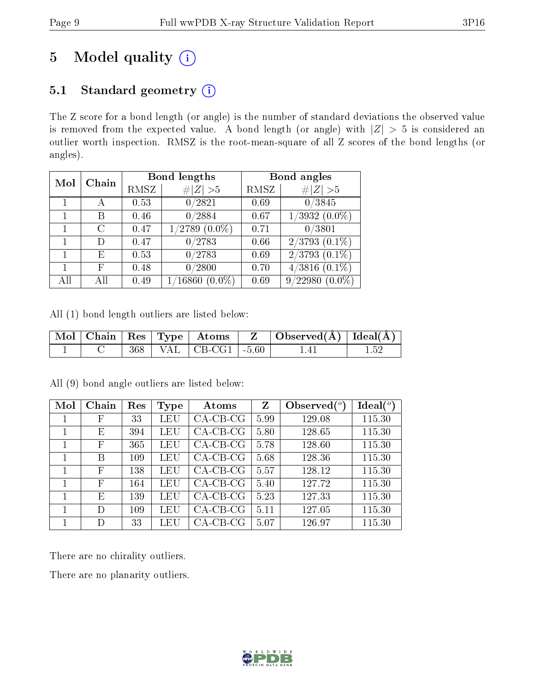# 5 Model quality  $(i)$

### 5.1 Standard geometry  $(i)$

The Z score for a bond length (or angle) is the number of standard deviations the observed value is removed from the expected value. A bond length (or angle) with  $|Z| > 5$  is considered an outlier worth inspection. RMSZ is the root-mean-square of all Z scores of the bond lengths (or angles).

| Mol | Chain |      | Bond lengths                | Bond angles |                              |  |
|-----|-------|------|-----------------------------|-------------|------------------------------|--|
|     |       | RMSZ | # $ Z  > 5$                 | RMSZ        | # $ Z >5$                    |  |
|     |       | 0.53 | 0/2821                      | 0.69        | 0/3845                       |  |
|     | В     | 0.46 | 0/2884                      | 0.67        | $\sqrt{3932 (0.0\%)}$        |  |
|     | С     | 0.47 | $1/2789$ $(0.0\%)$          | 0.71        | 0/3801                       |  |
|     | D     | 0.47 | 0/2783                      | 0.66        | $2/3793(0.1\%)$              |  |
|     | Е     | 0.53 | 0/2783                      | 0.69        | $2/3793$ $(0.1\%)$           |  |
|     | F     | 0.48 | /2800<br>0                  | 0.70        | $(0.1\%)$<br>$^{\prime}3816$ |  |
| All | All   | 0.49 | $\sqrt{16860}$<br>$(0.0\%)$ | 0.69        | 9/22980<br>$(0.0\%)$         |  |

All (1) bond length outliers are listed below:

|  |  |                              | $\mid$ Mol $\mid$ Chain $\mid$ Res $\mid$ Type $\mid$ Atoms $\mid$ Z $\mid$ Observed(A) $\mid$ Ideal(A) $\mid$ |  |
|--|--|------------------------------|----------------------------------------------------------------------------------------------------------------|--|
|  |  | $368$   VAL   CB-CG1   -5.60 |                                                                                                                |  |

| Mol | Chain | Res | Type | Atoms       | Z    | Observed $\binom{o}{c}$ | $Ideal(^\circ)$ |
|-----|-------|-----|------|-------------|------|-------------------------|-----------------|
|     | F     | 33  | LEU  | $CA$ -CB-CG | 5.99 | 129.08                  | 115.30          |
|     | Ε     | 394 | LEU  | $CA-CB-CG$  | 5.80 | 128.65                  | 115.30          |
|     | F     | 365 | LEU  | $CA-CB-CG$  | 5.78 | 128.60                  | 115.30          |
|     | В     | 109 | LEU  | $CA-CB-CG$  | 5.68 | 128.36                  | 115.30          |
|     | F     | 138 | LEU  | $CA-CB-CG$  | 5.57 | 128.12                  | 115.30          |
|     | F     | 164 | LEU  | $CA-CB-CG$  | 5.40 | 127.72                  | 115.30          |
|     | Е     | 139 | LEU  | $CA-CB-CG$  | 5.23 | 127.33                  | 115.30          |
|     | D     | 109 | LEU  | $CA-CB-CG$  | 5.11 | 127.05                  | 115.30          |
|     |       | 33  | LEU  | $CA-CB-CG$  | 5.07 | 126.97                  | 115.30          |

All (9) bond angle outliers are listed below:

There are no chirality outliers.

There are no planarity outliers.

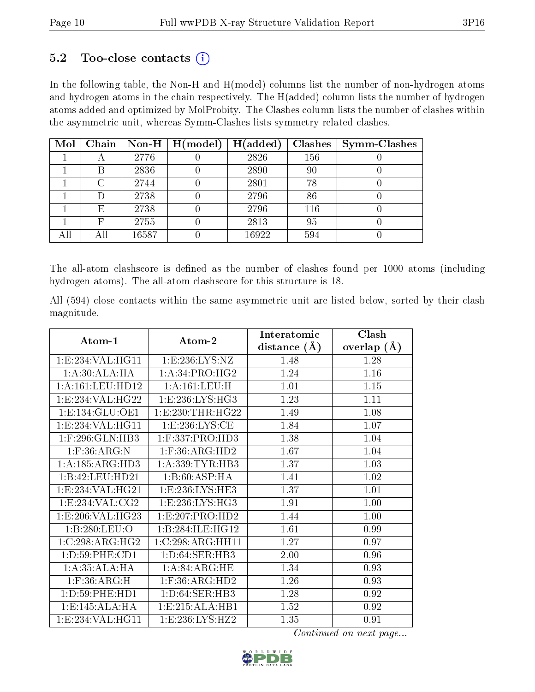#### $5.2$  Too-close contacts  $(i)$

In the following table, the Non-H and H(model) columns list the number of non-hydrogen atoms and hydrogen atoms in the chain respectively. The H(added) column lists the number of hydrogen atoms added and optimized by MolProbity. The Clashes column lists the number of clashes within the asymmetric unit, whereas Symm-Clashes lists symmetry related clashes.

| Mol |     |       | Chain   Non-H   $H (model)$ | H(added) | <b>Clashes</b> | <b>Symm-Clashes</b> |
|-----|-----|-------|-----------------------------|----------|----------------|---------------------|
|     |     | 2776  |                             | 2826     | 156            |                     |
|     | В   | 2836  |                             | 2890     | 90             |                     |
|     | C   | 2744  |                             | 2801     | 78             |                     |
|     |     | 2738  |                             | 2796     | 86             |                     |
|     | Ε   | 2738  |                             | 2796     | 116            |                     |
|     |     | 2755  |                             | 2813     | 95             |                     |
|     | Αll | 16587 |                             | 16922    | 594            |                     |

The all-atom clashscore is defined as the number of clashes found per 1000 atoms (including hydrogen atoms). The all-atom clashscore for this structure is 18.

All (594) close contacts within the same asymmetric unit are listed below, sorted by their clash magnitude.

|                      |                      | Interatomic    | Clash              |
|----------------------|----------------------|----------------|--------------------|
| $\rm{Atom\text{-}1}$ | Atom-2               | distance $(A)$ | $(\AA)$<br>overlap |
| 1:E:234:VAL:HG11     | 1: E: 236: LYS: NZ   | 1.48           | 1.28               |
| 1:A:30:ALA:HA        | 1: A:34: PRO:HG2     | 1.24           | 1.16               |
| 1: A: 161: LEU: HD12 | 1: A: 161: LEU: H    | 1.01           | 1.15               |
| 1:E:234:VAL:HG22     | 1:E:236:LYS:HG3      | 1.23           | 1.11               |
| 1: E: 134: GLU: OE1  | 1: E: 230: THR: HG22 | 1.49           | 1.08               |
| 1: E: 234: VAL: HG11 | 1: E: 236: LYS: CE   | 1.84           | 1.07               |
| $1:$ F:296:GLN:HB3   | $1:$ F:337:PRO:HD3   | 1.38           | 1.04               |
| $1:$ F:36:ARG:N      | $1:$ F:36:ARG:HD2    | 1.67           | 1.04               |
| 1:A:185:ARG:HD3      | 1: A: 339: TYR: HB3  | 1.37           | 1.03               |
| 1:B:42:LEU:HD21      | 1:B:60:ASP:HA        | 1.41           | 1.02               |
| 1:E:234:VAL:HG21     | 1:E:236:LYS:HE3      | 1.37           | 1.01               |
| 1:E:234:VAL:CG2      | 1:E:236:LYS:HG3      | 1.91           | 1.00               |
| 1:E:206:VAL:HG23     | 1:E:207:PRO:HD2      | 1.44           | 1.00               |
| 1:B:280:LEU:O        | 1:B:284:ILE:HG12     | 1.61           | 0.99               |
| 1:C:298:ARG:HG2      | 1:C:298:ARG:HH11     | 1.27           | 0.97               |
| 1:D:59:PHE:CD1       | 1: D:64: SER:HB3     | 2.00           | 0.96               |
| 1: A: 35: ALA: HA    | 1: A:84: ARG: HE     | 1.34           | 0.93               |
| $1:$ F:36:ARG:H      | $1:$ F:36:ARG:HD2    | 1.26           | 0.93               |
| 1: D:59: PHE: HD1    | 1: D:64:SER:HB3      | 1.28           | 0.92               |
| 1: E: 145: ALA: HA   | 1: E: 215: ALA: HB1  | 1.52           | 0.92               |
| 1:E:234:VAL:HG11     | 1: E: 236: LYS: HZ2  | 1.35           | 0.91               |

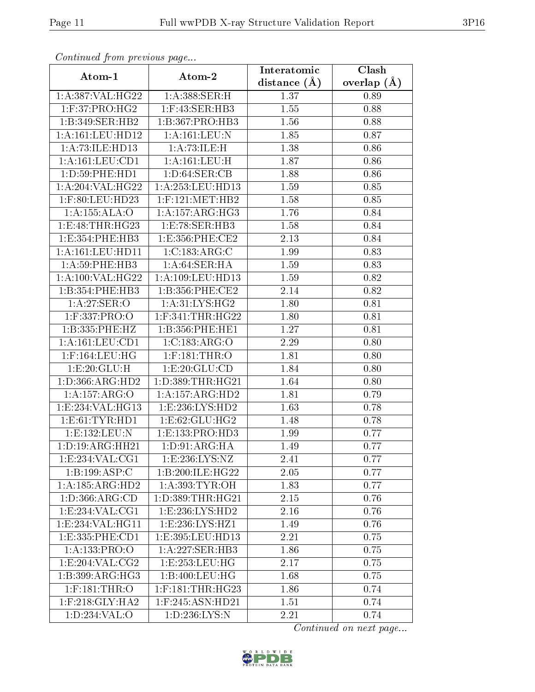| Continuea from previous page         |                      | Interatomic       | Clash         |
|--------------------------------------|----------------------|-------------------|---------------|
| Atom-1                               | Atom-2               | distance $(A)$    | overlap $(A)$ |
| 1:A:387:VAL:HG22                     | 1: A:388: SER:H      | 1.37              | 0.89          |
| 1:F:37:PRO:HG2                       | 1:F:43:SER:HB3       | $\overline{1}.55$ | 0.88          |
| 1:B:349:SER:HB2                      | 1:B:367:PRO:HB3      | 1.56              | 0.88          |
| $1:\overline{A}:161:\text{LEU}:HD12$ | 1:A:161:LEU:N        | 1.85              | 0.87          |
| 1:A:73:ILE:HD13                      | 1:A:73:ILE:H         | 1.38              | 0.86          |
| 1: A: 161: LEU: CD1                  | 1:A:161:LEU:H        | 1.87              | 0.86          |
| 1: D: 59: PHE: HD1                   | 1: D:64: SER:CB      | 1.88              | 0.86          |
| 1:A:204:VAL:HG22                     | 1:A:253:LEU:HD13     | 1.59              | 0.85          |
| 1:F:80:LEU:HD23                      | $1:$ F:121:MET:HB2   | 1.58              | 0.85          |
| 1:A:155:ALA:O                        | 1: A: 157: ARG: HG3  | 1.76              | 0.84          |
| 1: E:48: THR: HG23                   | 1:E:78:SER:HB3       | 1.58              | 0.84          |
| 1:E:354:PHE:HB3                      | 1: E: 356: PHE: CE2  | 2.13              | 0.84          |
| 1: A: 161: LEU: HD11                 | 1:C:183:ARG:C        | 1.99              | 0.83          |
| 1: A:59: PHE:HB3                     | 1: A:64:SER:HA       | 1.59              | 0.83          |
| 1:A:100:VAL:HG22                     | 1:A:109:LEU:HD13     | 1.59              | 0.82          |
| 1:B:354:PHE:HB3                      | 1:B:356:PHE:CE2      | 2.14              | 0.82          |
| 1:A:27:SER:O                         | 1: A:31: LYS: HG2    | 1.80              | 0.81          |
| $1:$ F:337:PRO:O                     | $1:$ F:341:THR:HG22  | 1.80              | 0.81          |
| 1:B:335:PHE:HZ                       | 1:B:356:PHE:HE1      | 1.27              | 0.81          |
| 1: A: 161: LEU: CD1                  | 1:C:183:ARG:O        | 2.29              | 0.80          |
| $1:$ F:164:LEU:HG                    | $1:$ F:181:THR:O     | 1.81              | 0.80          |
| 1:E:20:GLU:H                         | 1: E:20: GLU:CD      | 1.84              | 0.80          |
| 1: D: 366: ARG: HD2                  | 1:D:389:THR:HG21     | 1.64              | 0.80          |
| 1:A:157:ARG:O                        | 1: A: 157: ARG: HD2  | 1.81              | 0.79          |
| 1:E:234:VAL:HG13                     | 1: E: 236: LYS: HD2  | 1.63              | 0.78          |
| 1: E: 61: TYR: HD1                   | 1:E:62:GLU:HG2       | 1.48              | 0.78          |
| 1:E:132:LEU:N                        | 1:E:133:PRO:HD3      | 1.99              | 0.77          |
| 1:D:19:ARG:HH21                      | 1: D: 91: ARG: HA    | 1.49              | 0.77          |
| 1:E:234:VAL:CG1                      | 1: E: 236: LYS: NZ   | 2.41              | 0.77          |
| 1:B:199:ASP:C                        | 1:B:200:ILE:HG22     | 2.05              | 0.77          |
| 1:A:185:ARG:HD2                      | 1: A:393: TYR:OH     | 1.83              | 0.77          |
| 1: D: 366: ARG: CD                   | 1: D: 389: THR: HG21 | 2.15              | 0.76          |
| 1:E:234:VAL:CG1                      | 1: E: 236: LYS: HD2  | 2.16              | 0.76          |
| 1: E: 234: VAL: HG11                 | 1:E:236:LYS:HZ1      | 1.49              | 0.76          |
| 1:E:335:PHE:CD1                      | 1:E:395:LEU:HD13     | 2.21              | 0.75          |
| 1:A:133:PRO:O                        | 1:A:227:SER:HB3      | 1.86              | 0.75          |
| 1: E:204:VAL: CG2                    | 1:E:253:LEU:HG       | 2.17              | 0.75          |
| 1:B:399:ARG:HG3                      | 1:B:400:LEU:HG       | 1.68              | 0.75          |
| $1:$ F:181:THR:O                     | $1:$ F:181:THR:HG23  | 1.86              | 0.74          |
| $1:$ F:218:GLY:HA2                   | $1:$ F:245:ASN:HD21  | 1.51              | 0.74          |
| 1:D:234:VAL:O                        | 1:D:236:LYS:N        | 2.21              | 0.74          |

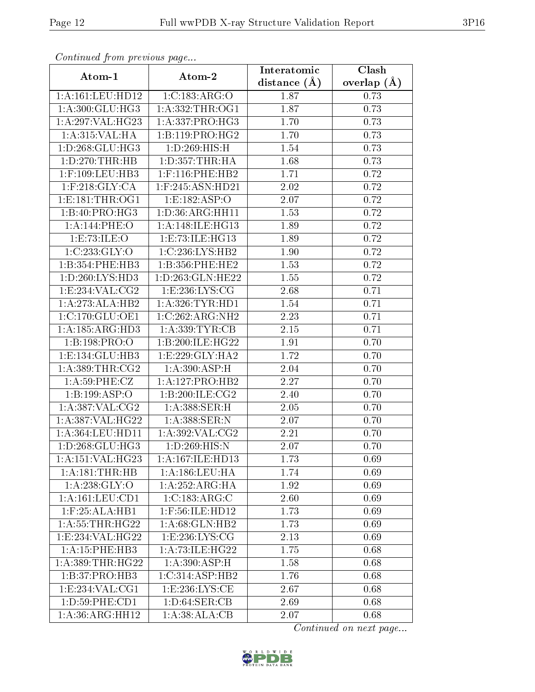| сонинией јтот ртеvиоиз раде      |                             | Interatomic    | Clash         |
|----------------------------------|-----------------------------|----------------|---------------|
| Atom-1                           | Atom-2                      | distance $(A)$ | overlap $(A)$ |
| 1:A:161:LEU:HD12                 | 1:C:183:ARG:O               | 1.87           | 0.73          |
| 1: A:300: GLU:HG3                | 1: A: 332: THR: OG1         | 1.87           | 0.73          |
| 1:A:297:VAL:HG23                 | 1:A:337:PRO:HG3             | 1.70           | 0.73          |
| 1:A:315:VAL:HA                   | 1:B:119:PRO:HG2             | 1.70           | 0.73          |
| 1: D: 268: GLU: HG3              | 1: D:269: HIS:H             | 1.54           | 0.73          |
| 1:D:270:THR:HB                   | 1: D: 357: THR: HA          | 1.68           | 0.73          |
| $1:$ F:109:LEU:HB3               | $1:$ F:116:PHE:HB2          | 1.71           | 0.72          |
| $1:$ F:218: $GLY:CA$             | $1:$ F:245:ASN:HD21         | 2.02           | 0.72          |
| 1: E: 181: THR: OG1              | 1:E:182:ASP:O               | 2.07           | 0.72          |
| 1:B:40:PRO:HG3                   | 1: D:36: ARG: HH11          | 1.53           | 0.72          |
| 1:A:144:PHE:O                    | 1: A:148: ILE: HG13         | 1.89           | 0.72          |
| 1:E:73:ILE:O                     | 1: E: 73: ILE: HG13         | 1.89           | 0.72          |
| 1:C:233:GLY:O                    | 1:C:236:LYS:HB2             | 1.90           | 0.72          |
| 1:B:354:PHE:HB3                  | 1:B:356:PHE:HE2             | 1.53           | 0.72          |
| 1:D:260:LYS:HD3                  | 1:D:263:GLN:HE22            | 1.55           | 0.72          |
| 1:E:234:VAL:CG2                  | 1:E:236:LYS:CG              | 2.68           | 0.71          |
| 1:A:273:ALA:HB2                  | 1: A:326:TYR:HD1            | 1.54           | 0.71          |
| 1: C: 170: GLU: OE1              | 1:C:262:ARG:NH2             | 2.23           | 0.71          |
| 1: A: 185: ARG: HD3              | 1: A: 339: TYR: CB          | $2.15\,$       | 0.71          |
| 1:B:198:PRO:O                    | 1:B:200:ILE:HG22            | 1.91           | 0.70          |
| 1:E:134:GLU:HB3                  | 1: E: 229: GLY: HA2         | 1.72           | 0.70          |
| 1: A: 389: THR: CG2              | 1: A:390:ASP:H              | 2.04           | 0.70          |
| 1: A:59: PHE: CZ                 | 1:A:127:PRO:HB2             | 2.27           | 0.70          |
| 1:B:199:ASP:O                    | 1: B:200: ILE: CG2          | 2.40           | 0.70          |
| 1:A:387:VAL:CG2                  | 1: A:388: SER:H             | 2.05           | 0.70          |
| 1:A:387:VAL:HG22                 | 1: A:388: SER: N            | 2.07           | 0.70          |
| 1:A:364:LEU:HD11                 | 1:A:392:VAL:CG2             | 2.21           | 0.70          |
| $1: D: 268: GLU: H\overline{G3}$ | 1:D:269:HIS:N               | 2.07           | 0.70          |
| 1:A:151:VAL:HG23                 | 1:A:167:ILE:HD13            | 1.73           | 0.69          |
| 1:A:181:THR:HB                   | $1: A: 186:$ LEU:HA         | 1.74           | 0.69          |
| 1: A:238: GLY:O                  | $1:A:252:ARG:\overline{HA}$ | 1.92           | 0.69          |
| 1:A:161:LEU:CD1                  | 1:C:183:ARG:C               | 2.60           | 0.69          |
| 1: F:25: ALA:HB1                 | $1:$ F:56:ILE:HD12          | 1.73           | 0.69          |
| 1: A:55:THR:HG22                 | 1: A:68: GLN: HB2           | 1.73           | 0.69          |
| 1:E:234:VAL:HG22                 | 1:E:236:LYS:CG              | 2.13           | 0.69          |
| 1:A:15:PHE:HB3                   | 1:A:73:ILE:HG22             | 1.75           | 0.68          |
| 1: A: 389: THR: HG22             | 1: A:390:ASP:H              | 1.58           | 0.68          |
| 1:B:37:PRO:HB3                   | 1:C:314:ASP:HB2             | 1.76           | 0.68          |
| 1: E: 234: VAL: CG1              | 1: E: 236: LYS: CE          | 2.67           | 0.68          |
| 1:D:59:PHE:CD1                   | 1: D:64:SER:CB              | 2.69           | 0.68          |
| $1:A:36:A\overline{RG:HH12}$     | 1:A:38:ALA:CB               | 2.07           | 0.68          |

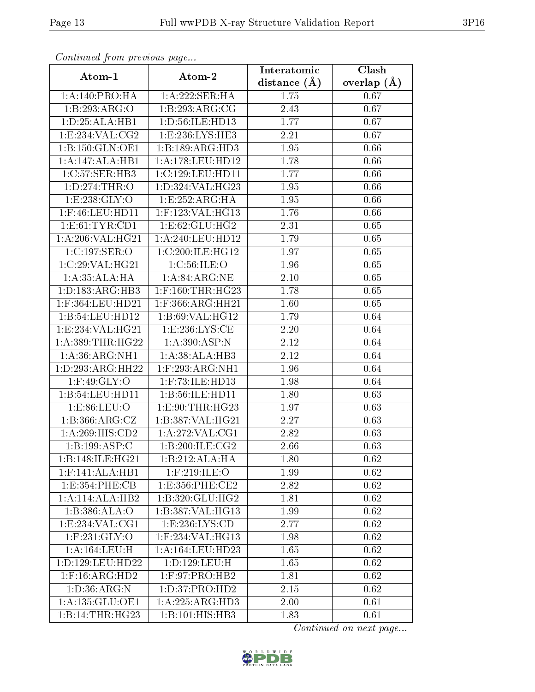| Continuati pom previous page |                      | Interatomic      | $\overline{\text{Clash}}$ |
|------------------------------|----------------------|------------------|---------------------------|
| Atom-1                       | Atom-2               | distance $(\AA)$ | overlap $(A)$             |
| 1:A:140:PRO:HA               | 1:A:222:SER:HA       | 1.75             | 0.67                      |
| 1:B:293:ARG:O                | 1:B:293:ARG:CG       | 2.43             | 0.67                      |
| 1: D: 25: ALA: HB1           | 1: D:56: ILE: HD13   | 1.77             | 0.67                      |
| 1:E:234:VAL:CG2              | 1:E:236:LYS:HE3      | 2.21             | 0.67                      |
| 1:B:150:GLN:OE1              | 1:B:189:ARG:HD3      | 1.95             | 0.66                      |
| 1:A:147:ALA:HB1              | 1: A:178: LEU: HD12  | 1.78             | 0.66                      |
| 1:C:57:SER:HB3               | 1:C:129:LEU:HD11     | 1.77             | 0.66                      |
| 1: D: 274: THR:O             | 1: D: 324: VAL: HG23 | 1.95             | 0.66                      |
| 1:E:238:GLY:O                | 1:E:252:ARG:HA       | 1.95             | 0.66                      |
| $1:$ F:46:LEU:HD11           | 1:F:123:VAL:HG13     | 1.76             | 0.66                      |
| 1: E: 61: TYR: CD1           | 1:E:62:GLU:HG2       | 2.31             | 0.65                      |
| 1:A:206:VAL:HG21             | 1:A:240:LEU:HD12     | 1.79             | 0.65                      |
| 1:C:197:SER:O                | 1:C:200:ILE:HG12     | 1.97             | 0.65                      |
| 1:C:29:VAL:HG21              | 1: C:56: ILE: O      | 1.96             | 0.65                      |
| 1:A:35:ALA:HA                | 1: A:84: ARG:NE      | 2.10             | 0.65                      |
| 1: D: 183: ARG: HB3          | $1:$ F:160:THR:HG23  | 1.78             | 0.65                      |
| 1:F:364:LEU:HD21             | 1:F:366:ARG:HH21     | 1.60             | 0.65                      |
| 1:B:54:LEU:HD12              | 1:B:69:VAL:HG12      | 1.79             | 0.64                      |
| 1:E:234:VAL:HG21             | 1: E: 236: LYS: CE   | 2.20             | 0.64                      |
| 1: A: 389: THR: HG22         | 1: A:390:ASP:N       | 2.12             | 0.64                      |
| 1: A:36:ARG:NH1              | 1: A:38:ALA:HB3      | 2.12             | 0.64                      |
| 1: D: 293: ARG: HH22         | $1:$ F:293:ARG:NH1   | 1.96             | 0.64                      |
| $1:$ F:49:GLY:O              | $1:$ F:73:ILE:HD13   | 1.98             | 0.64                      |
| 1:B:54:LEU:HDI1              | 1:B:56:ILE:HD11      | 1.80             | 0.63                      |
| 1:E:86:LEU:O                 | 1: E: 90: THR: HG23  | 1.97             | 0.63                      |
| 1: B: 366: ARG: CZ           | 1:B:387:VAL:HG21     | 2.27             | 0.63                      |
| 1:A:269:HIS:CD2              | 1: A:272: VAL:CG1    | 2.82             | 0.63                      |
| 1:B:199:ASP:C                | 1:B:200:ILE:CG2      | 2.66             | 0.63                      |
| 1:B:148:ILE:HG21             | 1:B:212:ALA:HA       | 1.80             | 0.62                      |
| $1:$ F:141:ALA:HB1           | $1:$ F:219:ILE:O     | 1.99             | 0.62                      |
| 1:E:354:PHE:CB               | 1: E: 356: PHE: CE2  | 2.82             | 0.62                      |
| 1:A:114:ALA:HB2              | 1:B:320:GLU:HG2      | 1.81             | 0.62                      |
| 1:B:386:ALA:O                | 1:B:387:VAL:HG13     | 1.99             | 0.62                      |
| 1:E:234:VAL:CG1              | 1:E:236:LYS:CD       | 2.77             | 0.62                      |
| $1:$ F:231:GLY:O             | $1:$ F:234:VAL:HG13  | 1.98             | 0.62                      |
| 1:A:164:LEU:H                | 1:A:164:LEU:HD23     | 1.65             | 0.62                      |
| 1:D:129:LEU:HD22             | 1:D:129:LEU:H        | 1.65             | 0.62                      |
| $1:$ F:16:ARG:HD2            | 1:F:97:PRO:HB2       | 1.81             | 0.62                      |
| 1: D: 36: ARG: N             | 1:D:37:PRO:HD2       | 2.15             | 0.62                      |
| 1:A:135:GLU:OE1              | 1:A:225:ARG:HD3      | 2.00             | 0.61                      |
| 1:B:14:THR:HG23              | 1:B:101:HIS:HB3      | 1.83             | 0.61                      |

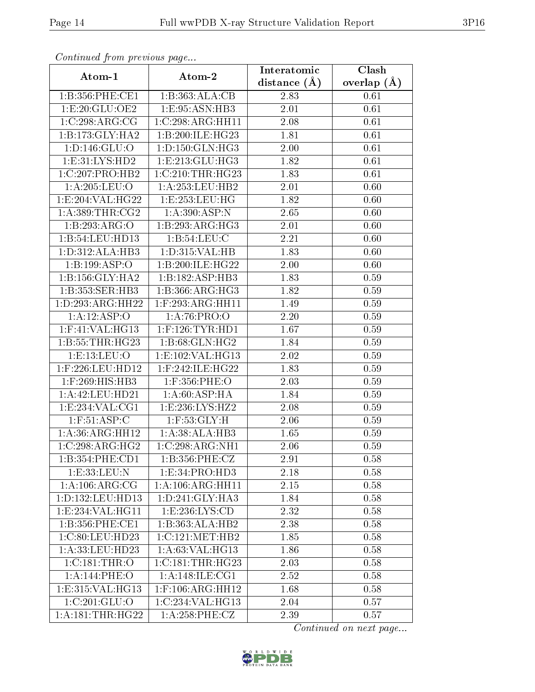| Continuea from previous page |                     | Interatomic    | $\overline{\text{Clash}}$ |
|------------------------------|---------------------|----------------|---------------------------|
| Atom-1                       | Atom-2              | distance $(A)$ | overlap $(A)$             |
| 1:B:356:PHE:CE1              | 1:B:363:ALA:CB      | 2.83           | 0.61                      |
| 1:E:20:GLU:OE2               | 1:E:95:ASN:HB3      | 2.01           | 0.61                      |
| 1:C:298:ARG:CG               | 1:C:298:ARG:HH11    | 2.08           | 0.61                      |
| 1:B:173:GLY:HA2              | 1:B:200:ILE:HG23    | 1.81           | 0.61                      |
| 1: D: 146: GLU: O            | 1: D: 150: GLN: HG3 | 2.00           | 0.61                      |
| 1:E:31:LYS:HD2               | 1:E:213:GLU:HG3     | 1.82           | 0.61                      |
| $1:C:207:PRO:\overline{HB2}$ | 1:C:210:THR:HG23    | 1.83           | 0.61                      |
| 1:A:205:LEU:O                | 1: A: 253: LEU: HB2 | 2.01           | 0.60                      |
| 1:E:204:VAL:HG22             | 1:E:253:EU:HG       | 1.82           | 0.60                      |
| 1: A: 389: THR: CG2          | 1: A:390:ASP:N      | 2.65           | 0.60                      |
| 1:B:293:ARG:O                | 1:B:293:ARG:HG3     | 2.01           | 0.60                      |
| 1:B:54:LEU:HD13              | 1: B:54:LEU: C      | 2.21           | 0.60                      |
| 1: D:312: ALA:HB3            | 1: D: 315: VAL: HB  | 1.83           | 0.60                      |
| 1:B:199:ASP:O                | 1:B:200:ILE:HG22    | 2.00           | 0.60                      |
| 1:B:156:GLY:HA2              | 1:B:182:ASP:HB3     | 1.83           | 0.59                      |
| 1:B:353:SER:HB3              | 1:B:366:ARG:HG3     | 1.82           | 0.59                      |
| 1:D:293:ARG:HH22             | $1:$ F:293:ARG:HH11 | 1.49           | 0.59                      |
| 1:A:12:ASP:O                 | 1: A:76: PRO:O      | 2.20           | 0.59                      |
| $1:$ F:41:VAL:HG13           | $1:$ F:126:TYR:HD1  | 1.67           | 0.59                      |
| 1: B: 55: THR: HG23          | 1:B:68:GLN:HG2      | 1.84           | 0.59                      |
| 1:E:13:LEU:O                 | 1:E:102:VAL:HG13    | 2.02           | 0.59                      |
| 1:F:226:LEU:HD12             | $1:$ F:242:ILE:HG22 | 1.83           | 0.59                      |
| 1:F:269:HIS:HB3              | 1:F:356:PHE:O       | 2.03           | 0.59                      |
| 1:A:42:LEU:HD21              | 1: A:60: ASP: HA    | 1.84           | 0.59                      |
| 1:E:234:VAL:CG1              | 1:E:236:LYS:HZ2     | 2.08           | 0.59                      |
| $1:$ F:51:ASP:C              | $1:$ F:53: $GLY:H$  | 2.06           | 0.59                      |
| 1:A:36:ARG:HH12              | 1: A:38:ALA:HB3     | 1.65           | 0.59                      |
| 1:C:298:ARG:HG2              | 1:C:298:ARG:NH1     | 2.06           | 0.59                      |
| 1:B:354:PHE:CD1              | 1:B:356:PHE:CZ      | 2.91           | 0.58                      |
| 1:E:33:LEU:N                 | 1: E: 34: PRO: HD3  | 2.18           | 0.58                      |
| 1: A:106: ARG:CG             | 1:A:106:ARG:HH11    | 2.15           | 0.58                      |
| 1:D:132:LEU:HD13             | 1: D:241: GLY:HA3   | 1.84           | 0.58                      |
| 1: E: 234: VAL: HG11         | 1: E: 236: LYS: CD  | 2.32           | 0.58                      |
| 1:B:356:PHE:CE1              | 1:B:363:ALA:HB2     | 2.38           | 0.58                      |
| 1:C:80:LEU:HD23              | 1:C:121:MET:HB2     | 1.85           | 0.58                      |
| 1:A:33:LEU:HD23              | 1:A:63:VAL:HG13     | 1.86           | 0.58                      |
| 1:C:181:THR:O                | 1:C:181:THR:HG23    | 2.03           | 0.58                      |
| 1:A:144:PHE:O                | 1: A:148: ILE: CG1  | 2.52           | 0.58                      |
| 1:E:315:VAL:HG13             | $1:$ F:106:ARG:HH12 | 1.68           | 0.58                      |
| 1:C:201:GLU:O                | 1:C:234:VAL:HG13    | 2.04           | 0.57                      |
| 1: A:181:THR:HG22            | 1: A:258:PHE:CZ     | 2.39           | 0.57                      |

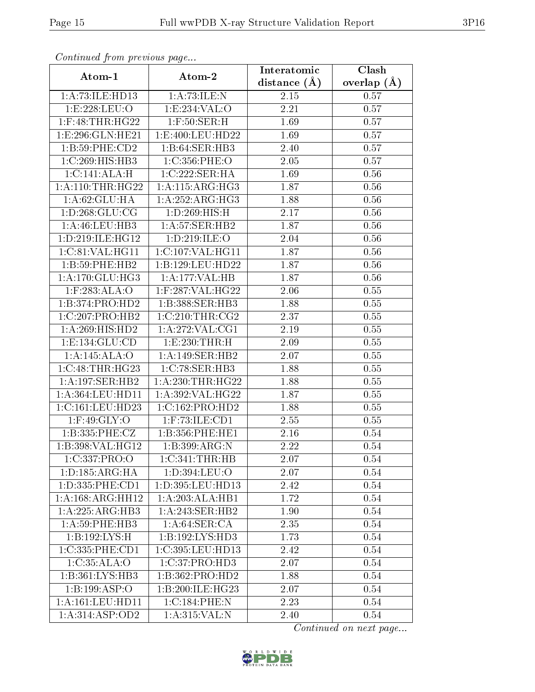| Communa from previous page |                          | Interatomic    | Clash         |
|----------------------------|--------------------------|----------------|---------------|
| Atom-1                     | Atom-2                   | distance $(A)$ | overlap $(A)$ |
| 1:A:73:ILE:HD13            | 1:A:73:ILE:N             | 2.15           | 0.57          |
| 1:E:228:LEU:O              | 1:E:234:VAL:O            | 2.21           | 0.57          |
| $1:$ F:48:THR:HG22         | $1:$ F:50:SER:H          | 1.69           | 0.57          |
| 1: E: 296: GLN: HE21       | 1: E:400: LEU:HD22       | 1.69           | 0.57          |
| 1:B:59:PHE:CD2             | 1:B:64:SER:HB3           | 2.40           | 0.57          |
| 1:C:269:HIS:HB3            | 1:C:356:PHE:O            | 2.05           | 0.57          |
| 1:C:141:ALA:H              | 1:C:222:SER:HA           | 1.69           | 0.56          |
| 1: A:110:THR:HG22          | 1: A:115: ARG: HG3       | 1.87           | 0.56          |
| 1: A:62: GLU: HA           | 1: A:252:ARG:HG3         | 1.88           | 0.56          |
| 1: D: 268: GLU: CG         | 1: D: 269: HIS:H         | 2.17           | 0.56          |
| 1:A:46:LEU:HB3             | 1: A:57: SER:HB2         | 1.87           | 0.56          |
| 1:D:219:ILE:HG12           | 1:D:219:ILE:O            | 2.04           | 0.56          |
| 1:C:81:VAL:HG11            | 1:C:107:VAL:HG11         | 1.87           | 0.56          |
| 1:B:59:PHE:HB2             | 1:B:129:LEU:HD22         | 1.87           | 0.56          |
| 1: A:170: GLU: HG3         | 1:A:177:VAL:HB           | 1.87           | 0.56          |
| 1:F:283:ALA:O              | 1:F:287:VAL:HG22         | 2.06           | 0.55          |
| 1:B:374:PRO:HD2            | 1:B:388:SER:HB3          | 1.88           | 0.55          |
| 1:C:207:PRO:HB2            | 1:C:210:THR:CG2          | 2.37           | 0.55          |
| 1:A:269:HIS:HD2            | 1: A:272: VAL:CG1        | 2.19           | 0.55          |
| 1: E: 134: GLU: CD         | 1:E:230:THR:H            | 2.09           | 0.55          |
| 1:A:145:ALA:O              | 1:A:149:SER:HB2          | 2.07           | 0.55          |
| 1:C:48:THR:HG23            | 1:C:78:SER:HB3           | 1.88           | 0.55          |
| 1:A:197:SER:HB2            | 1: A:230:THR:HG22        | 1.88           | 0.55          |
| 1:A:364:LEU:HD11           | 1:A:392:VAL:HG22         | 1.87           | 0.55          |
| 1:C:161:LEU:HD23           | 1:C:162:PRO:HD2          | 1.88           | 0.55          |
| $1:$ F:49:GLY:O            | $1:$ F:73:ILE:CD1        | 2.55           | 0.55          |
| 1:B:335:PHE:CZ             | 1:B:356:PHE:HE1          | 2.16           | 0.54          |
| 1:B:398:VAL:HG12           | 1:B:399:ARG:N            | 2.22           | 0.54          |
| 1:C:337:PRO:O              | 1:C:341:THR:HB           | 2.07           | 0.54          |
| 1: D: 185: ARG: HA         | 1:D:394:LEU:O            | 2.07           | 0.54          |
| 1: D: 335: PHE: CD1        | $1: D: 395:$ LEU:HD $13$ | 2.42           | 0.54          |
| 1:A:168:ARG:HH12           | 1:A:203:ALA:HB1          | 1.72           | 0.54          |
| 1:A:225:ARG:HB3            | 1:A:243:SER:HB2          | 1.90           | 0.54          |
| 1: A:59:PHE:HB3            | 1: A:64:SER:CA           | 2.35           | $0.54\,$      |
| 1:B:192:LYS:H              | 1:B:192:LYS:HD3          | 1.73           | 0.54          |
| 1:C:335:PHE:CD1            | 1:C:395:LEU:HD13         | 2.42           | 0.54          |
| 1:C:35:ALA:O               | 1:C:37:PRO:HD3           | 2.07           | 0.54          |
| 1:B:361:LYS:HB3            | 1:B:362:PRO:HD2          | 1.88           | 0.54          |
| 1:B:199:ASP:O              | 1:B:200:ILE:HG23         | 2.07           | 0.54          |
| 1:A:161:LEU:HD11           | 1:C:184:PHE:N            | 2.23           | 0.54          |
| 1: A:314: ASP:OD2          | 1: A:315: VAL: N         | 2.40           | 0.54          |

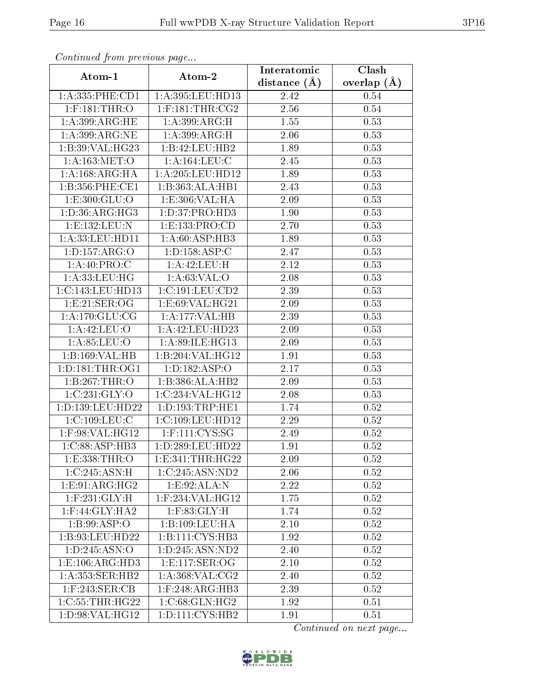| Comunaca jiom previous page |                                 | Interatomic    | Clash           |
|-----------------------------|---------------------------------|----------------|-----------------|
| Atom-1                      | Atom-2                          | distance $(A)$ | overlap $(\AA)$ |
| 1: A: 335: PHE: CD1         | 1:A:395:LEU:HD13                | 2.42           | 0.54            |
| $1:$ F:181:THR:O            | $1:$ F:181:THR:CG2              | 2.56           | 0.54            |
| 1: A:399: ARG: HE           | 1: A:399:ARG:H                  | 1.55           | 0.53            |
| 1:A:399:ARG:NE              | 1: A:399:ARG:H                  | 2.06           | 0.53            |
| 1:B:39:VAL:HG23             | 1:B:42:LEU:HB2                  | 1.89           | 0.53            |
| 1: A: 163: MET:O            | 1: A: 164: LEU: C               | 2.45           | 0.53            |
| 1:A:168:ARG:HA              | 1:A:205:LEU:HD12                | 1.89           | 0.53            |
| 1:B:356:PHE:CE1             | 1:B:363:ALA:HB1                 | 2.43           | 0.53            |
| 1:E:300:GLU:O               | 1:E:306:VAL:HA                  | 2.09           | 0.53            |
| 1:D:36:ARG:HG3              | 1: D: 37: PRO: HD3              | 1.90           | 0.53            |
| 1:E:132:LEU:N               | 1:E:133:PRO:CD                  | 2.70           | 0.53            |
| 1: A:33: LEU: HD11          | $1: A:60: \overline{ASP:HB3}$   | 1.89           | 0.53            |
| 1:D:157:ARG:O               | 1: D: 158: ASP: C               | 2.47           | 0.53            |
| 1:A:40:PRO:C                | 1:A:42:LEU:H                    | 2.12           | 0.53            |
| 1:A:33:LEU:HG               | 1: A:63:VAL:O                   | 2.08           | 0.53            |
| 1:C:143:LEU:HD13            | 1:C:191:LEU:CD2                 | 2.39           | 0.53            |
| 1:E:21:SER:OG               | 1:E:69:VAL:HG21                 | 2.09           | 0.53            |
| 1: A:170: GLU:CG            | 1:A:177:VAL:HB                  | 2.39           | 0.53            |
| 1:A:42:LEU:O                | 1: A: 42: LEU: HD23             | 2.09           | 0.53            |
| 1: A:85:LEU:O               | 1: A:89: ILE: HG13              | 2.09           | 0.53            |
| 1:B:169:VAL:HB              | 1:B:204:VAL:HG12                | 1.91           | 0.53            |
| 1: D: 181: THR: OG1         | 1: D: 182: ASP: O               | 2.17           | 0.53            |
| 1:B:267:THR:O               | 1:B:386:ALA:HB2                 | 2.09           | 0.53            |
| 1:C:231:GLY:O               | 1:C:234:VAL:HG12                | 2.08           | 0.53            |
| 1:D:139:LEU:HD22            | 1: D: 193: TRP: HE1             | 1.74           | 0.52            |
| 1:C:109:LEU:C               | 1:C:109:LEU:HD12                | 2.29           | $0.52\,$        |
| $1:$ F:98:VAL:H $G12$       | $1:$ F:111:CYS:SG               | 2.49           | 0.52            |
| $1:C:88:A\overline{SP:HB3}$ | 1:D:289:LEU:HD22                | 1.91           | 0.52            |
| 1: E: 338: THR:O            | 1: E: 341: THR: HG22            | 2.09           | 0.52            |
| 1:C:245:ASN:H               | 1:C:245:ASN:ND2                 | 2.06           | 0.52            |
| 1:E:91:ARG:HG2              | 1:E:92:ALA:N                    | 2.22           | 0.52            |
| $1:$ F:231:GLY:H            | $1:$ F:234:VAL:H $G12$          | 1.75           | 0.52            |
| $1:$ F:44:GLY:HA2           | $1:$ $F:83:$ $GLY:$ $H$         | 1.74           | 0.52            |
| 1:B:99:ASP:O                | 1:B:109:LEU:HA                  | $2.10\,$       | 0.52            |
| 1:B:93:LEU:HD22             | 1:B:111:CYS:HB3                 | 1.92           | 0.52            |
| 1: D: 245: ASN: O           | 1:D:245:ASN:ND2                 | 2.40           | 0.52            |
| 1: E: 106: ARG: HD3         | 1: E: 117: SER: OG              | 2.10           | 0.52            |
| 1:A:353:SER:HB2             | 1:A:368:VAL:CG2                 | 2.40           | 0.52            |
| $1:$ F:243:SER:CB           | $1:$ F:248:ARG:HB3              | 2.39           | 0.52            |
| 1:C:55:THR:HG22             | 1:C:68:GLN:HG2                  | 1.92           | 0.51            |
| 1: D:98: VAL:HG12           | 1: D: 111:C <sub>YS</sub> : HB2 | 1.91           | 0.51            |

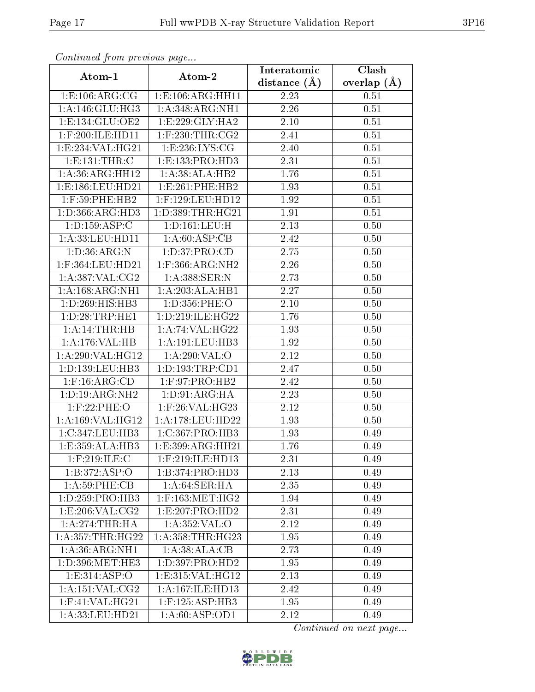| Communa from previous page       |                                         | Interatomic      | Clash         |
|----------------------------------|-----------------------------------------|------------------|---------------|
| Atom-1                           | Atom-2                                  | distance $(\AA)$ | overlap $(A)$ |
| 1: E: 106: ARG: CG               | 1:E:106:ARG:HH11                        | 2.23             | 0.51          |
| 1: A:146: GLU:HG3                | 1:A:348:ARG:NH1                         | 2.26             | 0.51          |
| 1: E: 134: GLU: OE2              | 1: E: 229: GLY: HA2                     | $2.10\,$         | 0.51          |
| 1:F:200:ILE:HD11                 | $1:$ F:230:THR:CG2                      | 2.41             | 0.51          |
| $1: E: 234: V\overline{AL:HG21}$ | 1: E: 236: LYS: CG                      | 2.40             | 0.51          |
| 1:E:131:THR:C                    | 1:E:133:PRO:HD3                         | 2.31             | 0.51          |
| 1:A:36:ARG:HH12                  | 1:A:38:ALA:HB2                          | 1.76             | 0.51          |
| 1:E:186:LEU:HD21                 | 1: E: 261: PHE: HB2                     | 1.93             | 0.51          |
| 1:F:59:PHE:HB2                   | 1:F:129:LEU:HD12                        | 1.92             | 0.51          |
| 1: D: 366: ARG: HD3              | 1: D: 389: THR: HG21                    | 1.91             | 0.51          |
| 1: D: 159: ASP: C                | 1: D: 161: LEU: H                       | 2.13             | 0.50          |
| 1: A:33:LEU:HD11                 | 1: A:60: ASP:CB                         | 2.42             | 0.50          |
| 1: D:36: ARG: N                  | 1: D: 37: PRO: CD                       | 2.75             | 0.50          |
| 1:F:364:LEU:HD21                 | $1:$ F:366:ARG: $\overline{\text{NH2}}$ | 2.26             | 0.50          |
| 1:A:387:VAL:CG2                  | 1:A:388:SER:N                           | 2.73             | 0.50          |
| 1:A:168:ARG:NH1                  | 1:A:203:ALA:HB1                         | 2.27             | 0.50          |
| 1: D:269: HIS: HB3               | 1:D:356:PHE:O                           | $2.10\,$         | 0.50          |
| 1: D:28:TRP:HE1                  | 1: D: 219: ILE: HG22                    | 1.76             | 0.50          |
| 1:A:14:THR:HB                    | 1: A:74: VAL:HG22                       | 1.93             | 0.50          |
| 1:A:176:VAL:HB                   | 1: A: 191: LEU: HB3                     | 1.92             | 0.50          |
| 1:A:290:VAL:HG12                 | 1:A:290:VAL:O                           | 2.12             | 0.50          |
| 1: D: 139: LEU: HB3              | 1: D: 193: TRP: CD1                     | 2.47             | 0.50          |
| $1:$ F:16:ARG:CD                 | $1:$ F:97:PRO:HB2                       | 2.42             | 0.50          |
| 1:D:19:ARG:NH2                   | 1: D: 91: ARG: HA                       | 2.23             | 0.50          |
| $1:$ F:22:PHE:O                  | $1:$ F:26:VAL:HG23                      | 2.12             | 0.50          |
| 1:A:169:VAL:HG12                 | 1:A:178:LEU:HD22                        | 1.93             | 0.50          |
| 1:C:347:LEU:HB3                  | 1:C:367:PRO:HB3                         | 1.93             | 0.49          |
| 1:E:359:ALA:HB3                  | 1:E:399:ARG:HH21                        | 1.76             | 0.49          |
| $1:$ F:219:ILE:C                 | 1:F:219:ILE:HD13                        | 2.31             | 0.49          |
| 1: B: 372: ASP:O                 | 1:B:374:PRO:HD3                         | 2.13             | 0.49          |
| 1: A:59:PHE:CB                   | 1: A:64:SER:HA                          | 2.35             | 0.49          |
| 1: D: 259: PRO:HB3               | $1:$ F:163:MET:HG2                      | 1.94             | 0.49          |
| 1: E:206: VAL: CG2               | 1:E:207:PRO:HD2                         | 2.31             | 0.49          |
| $1:A:274$ : THR: HA              | 1:A:352:VAL:O                           | 2.12             | 0.49          |
| 1: A: 357: THR: HG22             | 1: A: 358: THR: HG23                    | 1.95             | 0.49          |
| $1:\overline{A:36:ARG:NH1}$      | 1: A:38: ALA:CB                         | 2.73             | 0.49          |
| $1: D: 396$ : MET: HE3           | 1: D: 397: PRO: HD2                     | 1.95             | 0.49          |
| 1: E: 314: ASP:O                 | 1:E:315:VAL:HG12                        | 2.13             | 0.49          |
| 1: A: 151: VAL: CG2              | 1:A:167:ILE:HD13                        | 2.42             | 0.49          |
| $1:$ F:41:VAL:HG21               | $1:$ F:125:ASP:HB3                      | 1.95             | 0.49          |
| 1:A:33:LEU:HD21                  | 1: A:60: ASP:OD1                        | 2.12             | 0.49          |

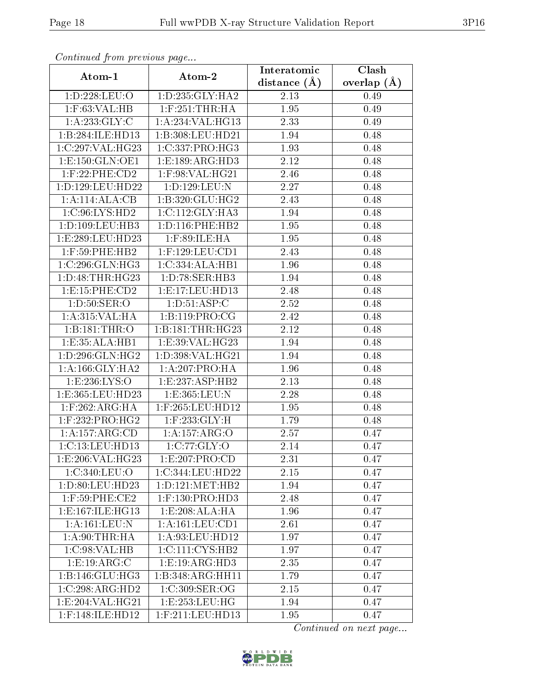| Communa from previous page |                                    | Interatomic       | Clash           |
|----------------------------|------------------------------------|-------------------|-----------------|
| Atom-1                     | Atom-2                             | distance $(\AA)$  | overlap $(\AA)$ |
| 1:D:228:LEU:O              | 1: D: 235: GLY: HA2                | 2.13              | 0.49            |
| $1:$ F:63:VAL:HB           | $1:$ F:251:THR:HA                  | 1.95              | 0.49            |
| 1: A: 233: GLY: C          | 1:A:234:VAL:HG13                   | 2.33              | 0.49            |
| 1:B:284:ILE:HD13           | 1:B:308:LEU:HD21                   | 1.94              | 0.48            |
| 1:C:297:VAL:HG23           | 1:C:337:PRO:HG3                    | 1.93              | 0.48            |
| 1: E: 150: GLN: OE1        | 1: E: 189: ARG: HD3                | 2.12              | 0.48            |
| $1:$ F:22:PHE:CD2          | 1:F:98:VAL:HG21                    | 2.46              | 0.48            |
| 1: D: 129: LEU: HD22       | 1:D:129:LEU:N                      | 2.27              | 0.48            |
| 1:A:114:ALA:CB             | 1:B:320:GLU:HG2                    | 2.43              | 0.48            |
| 1:C:96:LYS:HD2             | 1:C:112:GLY:HA3                    | 1.94              | 0.48            |
| 1: D: 109: LEU: HB3        | 1: D: 116: PHE: HB2                | 1.95              | 0.48            |
| 1:E:289:LEU:HD23           | $1:$ F:89:ILE:HA                   | 1.95              | 0.48            |
| $1:$ F:59:PHE:HB2          | $1:$ F:129:LEU:CD1                 | 2.43              | 0.48            |
| 1:C:296:GLN:HG3            | $1:C:334:ALA:\overline{HB1}$       | 1.96              | 0.48            |
| 1: D: 48: THR: HG23        | 1:D:78:SER:HB3                     | 1.94              | 0.48            |
| 1: E: 15: PHE: CD2         | 1: E: 17: LEU: HD13                | 2.48              | 0.48            |
| 1: D:50: SER:O             | 1: D:51: ASP:C                     | 2.52              | 0.48            |
| 1: A:315: VAL:HA           | 1: B: 119: PRO: CG                 | 2.42              | 0.48            |
| 1:B:181:THR:O              | 1:B:181:THR:HG23                   | 2.12              | 0.48            |
| 1:E:35:ALA:HB1             | 1: E:39: VAL:HG23                  | 1.94              | 0.48            |
| 1: D: 296: GLN: HG2        | 1:D:398:VAL:HG21                   | 1.94              | 0.48            |
| 1: A: 166: GLY: HA2        | 1: A:207:PRO:HA                    | 1.96              | 0.48            |
| 1:E:236:LYS:O              | 1:E:237:ASP:HB2                    | 2.13              | 0.48            |
| 1: E: 365: LEU: HD23       | 1:E:365:LEU:N                      | 2.28              | 0.48            |
| $1:$ F:262:ARG:HA          | $1:$ F:265:LEU:HD12                | 1.95              | 0.48            |
| $1:$ F:232:PRO:HG2         | $1:$ F:233:GLY:H                   | 1.79              | 0.48            |
| 1:A:157:ARG:CD             | 1:A:157:ARG:O                      | 2.57              | 0.47            |
| 1:C:13:LEU:HD13            | 1:C:77:GLY:O                       | $\overline{2.14}$ | 0.47            |
| 1:E:206:VAL:HG23           | 1:E:207:PRO:CD                     | 2.31              | 0.47            |
| 1:C:340:LEU:O              | 1:C:344:LEU:HD22                   | 2.15              | 0.47            |
| 1:D:80:LEU:HD23            | 1: D: 121: MET: HB2                | 1.94              | 0.47            |
| 1:F:59:PHE:CE2             | $1:$ F:130:PRO:HD3                 | 2.48              | 0.47            |
| 1:E:167:ILE:HG13           | 1: E: 208: ALA: HA                 | 1.96              | 0.47            |
| 1:A:161:LEU:N              | 1:A:161:LEU:CD1                    | 2.61              | 0.47            |
| 1: A:90:THR:HA             | $1: A:93: \text{LEU}: \text{HD}12$ | 1.97              | 0.47            |
| 1:C:98:VAL:HB              | 1:C:111:CYS:HB2                    | 1.97              | 0.47            |
| 1:E:19:ARG:C               | 1:E:19:ARG:HD3                     | 2.35              | 0.47            |
| 1: B: 146: GLU: HG3        | 1:B:348:ARG:HH11                   | 1.79              | 0.47            |
| 1:C:298:ARG:HD2            | 1:C:309:SER:OG                     | 2.15              | 0.47            |
| 1:E:204:VAL:HG21           | 1:E:253:LEU:HG                     | 1.94              | 0.47            |
| 1:F:148:ILE:HD12           | $1:$ F:211:LEU:HD13                | 1.95              | 0.47            |

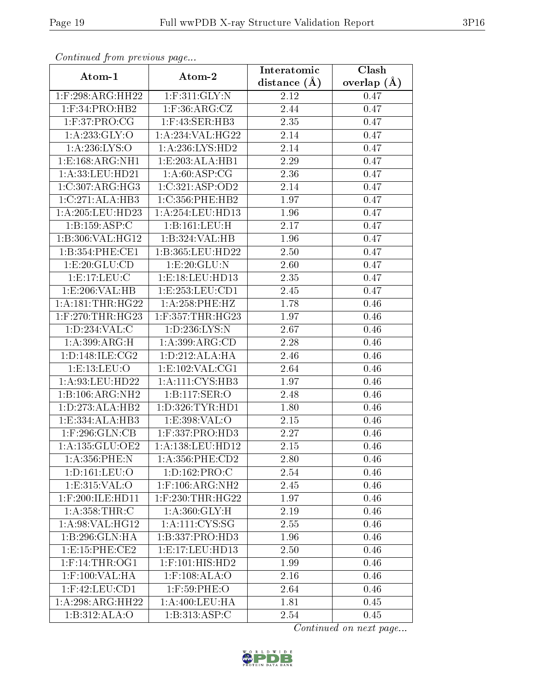| Communica from precious page         |                     | Interatomic       | Clash           |
|--------------------------------------|---------------------|-------------------|-----------------|
| Atom-1                               | Atom-2              | distance $(A)$    | overlap $(\AA)$ |
| 1:F:298:ARG:HH22                     | $1:$ F:311:GLY:N    | 2.12              | 0.47            |
| $1:$ F:34:PRO:HB2                    | $1:$ F:36:ARG:CZ    | 2.44              | 0.47            |
| 1: F:37: PRO:CG                      | $1:$ F:43:SER:HB3   | 2.35              | 0.47            |
| 1: A:233: GLY:O                      | 1:A:234:VAL:HG22    | 2.14              | 0.47            |
| 1: A:236: LYS:O                      | 1:A:236:LYS:HD2     | 2.14              | 0.47            |
| 1: E: 168: ARG: NH1                  | 1:E:203:ALA:HB1     | 2.29              | 0.47            |
| 1:A:33:LEU:HD21                      | 1: A:60: ASP:CG     | 2.36              | 0.47            |
| 1:C:307:ARG:HG3                      | 1:C:321:ASP:OD2     | 2.14              | 0.47            |
| 1:C:271:ALA:HB3                      | 1:C:356:PHE:HB2     | 1.97              | 0.47            |
| 1:A:205:LEU:HD23                     | 1:A:254:LEU:HD13    | 1.96              | 0.47            |
| 1:B:159:ASP:C                        | 1:B:161:LEU:H       | 2.17              | 0.47            |
| 1:B:306:VAL:HG12                     | 1:B:324:VAL:HB      | 1.96              | 0.47            |
| 1:B:354:PHE:CE1                      | 1:B:365:LEU:HD22    | 2.50              | 0.47            |
| 1:E:20:GLU:CD                        | 1:E:20:GLU:N        | 2.60              | 0.47            |
| 1:E:17:EU:C                          | 1:E:18:LEU:HD13     | 2.35              | 0.47            |
| 1: E:206: VAL: HB                    | 1:E:253:LEU:CD1     | 2.45              | 0.47            |
| 1: A:181:THR:HG22                    | 1: A:258:PHE:HZ     | 1.78              | 0.46            |
| $1:$ F:270:THR:HG23                  | 1:F:357:THR:HG23    | 1.97              | 0.46            |
| $1: D: 234: \overline{\text{VAL}:C}$ | 1: D: 236: LYS: N   | 2.67              | 0.46            |
| 1: A:399:ARG:H                       | 1: A:399: ARG:CD    | 2.28              | 0.46            |
| 1: D: 148: ILE: CG2                  | 1: D: 212: ALA: HA  | $\overline{2}.46$ | 0.46            |
| 1:E:13:LEU:O                         | 1: E: 102: VAL: CG1 | 2.64              | 0.46            |
| 1:A:93:LEU:HD22                      | 1: A: 111: CYS: HB3 | 1.97              | 0.46            |
| 1:B:106:ARG:NH2                      | 1:B:117:SER:O       | 2.48              | 0.46            |
| 1: D: 273: ALA: HB2                  | 1:D:326:TYR:HD1     | 1.80              | 0.46            |
| 1:E:334:ALA:HB3                      | 1:E:398:VAL:O       | 2.15              | 0.46            |
| $1:$ F:296: $GLN:CB$                 | $1:$ F:337:PRO:HD3  | 2.27              | 0.46            |
| 1:A:135:GLU:OE2                      | 1:A:138:LEU:HD12    | 2.15              | 0.46            |
| 1:A:356:PHE:N                        | 1: A: 356: PHE: CD2 | 2.80              | 0.46            |
| 1: D: 161: LEU: O                    | 1:D:162:PRO:C       | 2.54              | 0.46            |
| 1:E:315:VAL:O                        | $1:$ F:106:ARG:NH2  | 2.45              | 0.46            |
| $1:$ F:200:ILE:HD11                  | 1:F:230:THR:HG22    | 1.97              | 0.46            |
| 1: A: 358: THR: C                    | 1: A:360: GLY:H     | 2.19              | 0.46            |
| 1: A:98: VAL:HG12                    | 1: A: 111:CYS:SG    | 2.55              | 0.46            |
| 1:B:296:GLN:HA                       | 1:B:337:PRO:HD3     | 1.96              | 0.46            |
| 1:E:15:PHE:CE2                       | 1:E:17:LEU:HD13     | 2.50              | 0.46            |
| $1:$ F:14:THR:OG1                    | $1:$ F:101:HIS:HD2  | 1.99              | 0.46            |
| $1:$ F:100:VAL:HA                    | $1:$ F:108:ALA:O    | 2.16              | 0.46            |
| $1:$ F:42:LEU:CD1                    | $1:$ F:59:PHE:O     | 2.64              | 0.46            |
| 1:A:298:ARG:HH22                     | 1: A:400:LEU:HA     | 1.81              | 0.45            |
| 1:B:312:ALA:O                        | 1:B:313:ASP:C       | 2.54              | 0.45            |

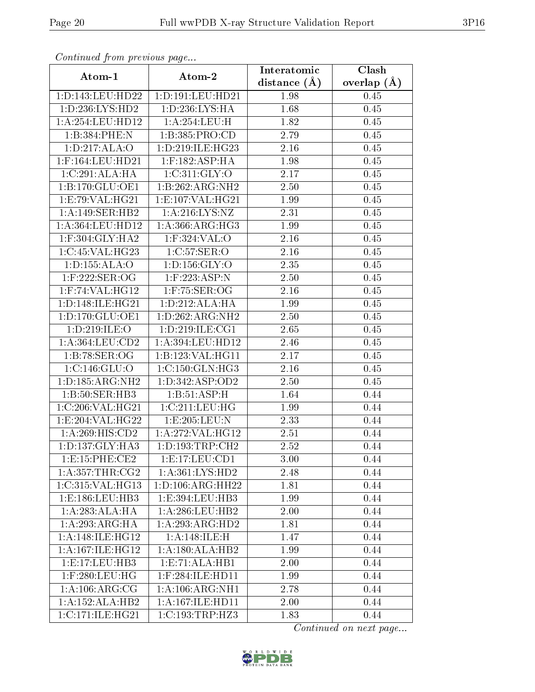| Communa from previous page |                      | Interatomic      | Clash           |
|----------------------------|----------------------|------------------|-----------------|
| Atom-1                     | Atom-2               | distance $(\AA)$ | overlap $(\AA)$ |
| 1:D:143:LEU:HD22           | 1:D:191:LEU:HD21     | 1.98             | 0.45            |
| 1: D: 236: LYS: HD2        | 1: D: 236: LYS: HA   | 1.68             | 0.45            |
| 1:A:254:LEU:HD12           | 1: A:254:LEU:H       | 1.82             | 0.45            |
| 1:B:384:PHE:N              | 1:B:385:PRO:CD       | 2.79             | 0.45            |
| 1: D: 217: ALA: O          | 1: D:219: ILE: HG23  | 2.16             | 0.45            |
| 1:F:164:LEU:HD21           | $1:$ F:182:ASP:HA    | 1.98             | 0.45            |
| 1:C:291:ALA:HA             | 1:C:311:GLY:O        | 2.17             | 0.45            |
| 1:B:170:GLU:OE1            | 1:B:262:ARG:NH2      | 2.50             | 0.45            |
| 1: E: 79: VAL: HG21        | 1: E: 107: VAL: HG21 | 1.99             | 0.45            |
| 1:A:149:SER:HB2            | 1: A:216:LYS:NZ      | 2.31             | 0.45            |
| 1:A:364:LEU:HD12           | 1: A: 366: ARG: HG3  | 1.99             | 0.45            |
| $1:$ F:304:GLY:HA2         | 1:F:324:VAL:O        | 2.16             | 0.45            |
| 1:C:45:VAL:HG23            | 1:C:57:SER:O         | 2.16             | 0.45            |
| 1: D: 155: ALA: O          | 1: D: 156: GLY: O    | 2.35             | 0.45            |
| 1:F:222:SER:OG             | 1:F:223:ASP:N        | 2.50             | 0.45            |
| $1:$ F:74:VAL:H $G12$      | $1:$ F:75:SER:OG     | 2.16             | 0.45            |
| 1: D: 148: ILE: HG21       | 1: D: 212: ALA: HA   | 1.99             | 0.45            |
| 1: D: 170: GLU: OE1        | 1:D:262:ARG:NH2      | 2.50             | 0.45            |
| 1:D:219:ILE:O              | 1:D:219:ILE:CG1      | 2.65             | 0.45            |
| 1: A: 364: LEU: CD2        | 1:A:394:LEU:HD12     | 2.46             | 0.45            |
| 1:B:78:SER:OG              | 1:B:123:VAL:HG11     | 2.17             | 0.45            |
| 1:C:146:GLU:O              | 1:C:150:GLN:HG3      | $2.16\,$         | 0.45            |
| 1: D: 185: ARG: NH2        | 1: D: 342: ASP: OD2  | 2.50             | 0.45            |
| 1: B:50: SER: HB3          | 1:B:51:ASP:H         | 1.64             | 0.44            |
| 1:C:206:VAL:HG21           | 1:C:211:LEU:HG       | 1.99             | 0.44            |
| 1:E:204:VAL:HG22           | 1:E:205:EU:N         | 2.33             | 0.44            |
| 1:A:269:HIS:CD2            | 1:A:272:VAL:HG12     | 2.51             | 0.44            |
| 1: D: 137: GLY: HA3        | 1: D: 193: TRP: CH2  | 2.52             | 0.44            |
| 1: E: 15: PHE: CE2         | 1: E: 17: LEU: CD1   | 3.00             | 0.44            |
| 1: A: 357: THR: CG2        | 1: A: 361: LYS: HD2  | 2.48             | 0.44            |
| 1:C:315:VAL:HG13           | 1: D: 106: ARG: HH22 | 1.81             | 0.44            |
| 1: E: 186: LEU: HB3        | 1:E:394:LEU:HB3      | 1.99             | 0.44            |
| 1:A:283:ALA:HA             | 1: A:286:LEU:HB2     | 2.00             | 0.44            |
| 1:A:293:ARG:HA             | 1:A:293:ARG:HD2      | 1.81             | 0.44            |
| 1: A:148: ILE: HG12        | 1: A:148: ILE:H      | 1.47             | 0.44            |
| 1: A:167: ILE: HG12        | 1:A:180:ALA:HB2      | 1.99             | 0.44            |
| 1:E:17:LEU:HB3             | 1: E: 71: ALA: HB1   | 2.00             | 0.44            |
| $1:$ F:280:LEU:HG          | 1:F:284:ILE:HD11     | 1.99             | 0.44            |
| 1: A:106: ARG: CG          | 1: A:106: ARG:NH1    | 2.78             | 0.44            |
| 1:A:152:ALA:HB2            | 1:A:167:ILE:HD11     | 2.00             | 0.44            |
| 1:C:171:ILE:HG21           | 1:C:193:TRP:HZ3      | 1.83             | 0.44            |

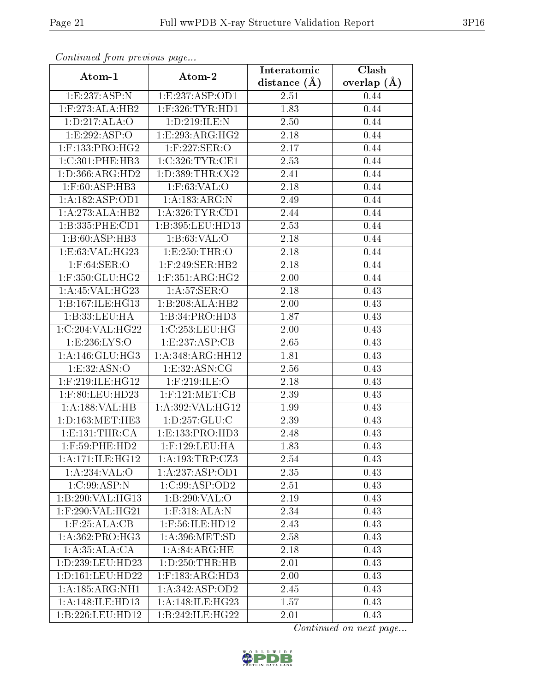| Continuea jioin pievivus page |                                        | Interatomic    | Clash           |
|-------------------------------|----------------------------------------|----------------|-----------------|
| Atom-1                        | Atom-2                                 | distance $(A)$ | overlap $(\AA)$ |
| 1:E:237:ASP:N                 | 1:E:237:ASP:OD1                        | 2.51           | 0.44            |
| 1:F:273:ALA:HB2               | $1:$ F:326:TYR:HD1                     | 1.83           | 0.44            |
| 1: D: 217: ALA: O             | 1:D:219:ILE:N                          | 2.50           | 0.44            |
| 1:E:292:ASP:O                 | 1:E:293:ARG:HG2                        | 2.18           | 0.44            |
| $1:$ F:133:PRO:HG2            | $1:$ F:227:SER:O                       | 2.17           | 0.44            |
| 1:C:301:PHE:HB3               | 1:C:326:TYR:CE1                        | 2.53           | 0.44            |
| 1: D: 366: ARG: HD2           | 1: D: 389: THR: CG2                    | 2.41           | 0.44            |
| $1:$ F:60:ASP:HB3             | 1:F:63:VAL:O                           | 2.18           | 0.44            |
| 1: A: 182: ASP: OD1           | 1: A: 183: ARG: N                      | 2.49           | 0.44            |
| 1:A:273:ALA:HB2               | 1: A:326: TYR: CD1                     | 2.44           | 0.44            |
| 1:B:335:PHE:CD1               | 1:B:395:LEU:HD13                       | 2.53           | 0.44            |
| 1:B:60:ASP:HB3                | 1: B:63:VAL:O                          | 2.18           | 0.44            |
| 1:E:63:VAL:HG23               | 1:E:250:THR:O                          | 2.18           | 0.44            |
| $1:$ F:64:SER:O               | $1:$ F:249:SER:HB2                     | 2.18           | 0.44            |
| $1:$ F:350:GLU:HG2            | $1:$ F:351:ARG:HG2                     | 2.00           | 0.44            |
| 1: A:45: VAL:HG23             | 1: A:57: SER:O                         | 2.18           | 0.43            |
| 1:B:167:ILE:HG13              | 1:B:208:ALA:HB2                        | 2.00           | 0.43            |
| 1:B:33:LEU:HA                 | 1:B:34:PRO:HD3                         | 1.87           | 0.43            |
| 1:C:204:VAL:HG22              | 1:C:253:LEU:HG                         | 2.00           | 0.43            |
| 1:E:236:LYS:O                 | 1:E:237:ASP:CB                         | 2.65           | 0.43            |
| 1:A:146:GLU:HG3               | 1:A:348:ARG:HH12                       | 1.81           | 0.43            |
| 1: E: 32: ASN:O               | 1: E:32: ASN: CG                       | 2.56           | 0.43            |
| 1:F:219:ILE:HG12              | $1:$ F:219:ILE:O                       | 2.18           | 0.43            |
| 1:F:80:LEU:HD23               | $1:$ F:121:MET:CB                      | 2.39           | 0.43            |
| 1:A:188:VAL:HB                | 1:A:392:VAL:HG12                       | 1.99           | 0.43            |
| 1: D: 163: MET: HE3           | 1: D: 257: GLU: C                      | 2.39           | 0.43            |
| 1: E: 131: THE: CA            | 1:E:133:PRO:HD3                        | 2.48           | 0.43            |
| $1:$ F:59:PHE:HD2             | $1:$ F:129:LEU: $\overline{\text{HA}}$ | 1.83           | 0.43            |
| 1: A:171: ILE: HG12           | 1: A: 193: TRP: CZ3                    | 2.54           | 0.43            |
| 1:A:234:VAL:O                 | 1:A:237:ASP:OD1                        | 2.35           | 0.43            |
| 1:C:99:ASP:N                  | 1: C:99: ASP:OD2                       | 2.51           | 0.43            |
| 1:B:290:VAL:HG13              | 1:B:290:VAL:O                          | 2.19           | 0.43            |
| $1:$ F:290:VAL:HG21           | $1:$ F:318:ALA:N                       | 2.34           | 0.43            |
| 1: F:25: ALA:CB               | $1:$ F:56:ILE:HD12                     | 2.43           | 0.43            |
| 1:A:362:PRO:HG3               | 1: A:396: MET:SD                       | 2.58           | 0.43            |
| $1:A:35:\overline{ALA:CA}$    | 1: A:84: ARG: HE                       | 2.18           | 0.43            |
| 1:D:239:LEU:HD23              | 1: D: 250: THR: HB                     | 2.01           | 0.43            |
| 1:D:161:LEU:HD22              | $1:$ F:183:ARG:HD3                     | 2.00           | 0.43            |
| 1:A:185:ARG:NH1               | 1: A:342: ASP:OD2                      | 2.45           | 0.43            |
| 1:A:148:ILE:HD13              | 1: A:148: ILE: HG23                    | 1.57           | 0.43            |
| 1:B:226:LEU:HD12              | 1:B:242:ILE:HG22                       | 2.01           | 0.43            |

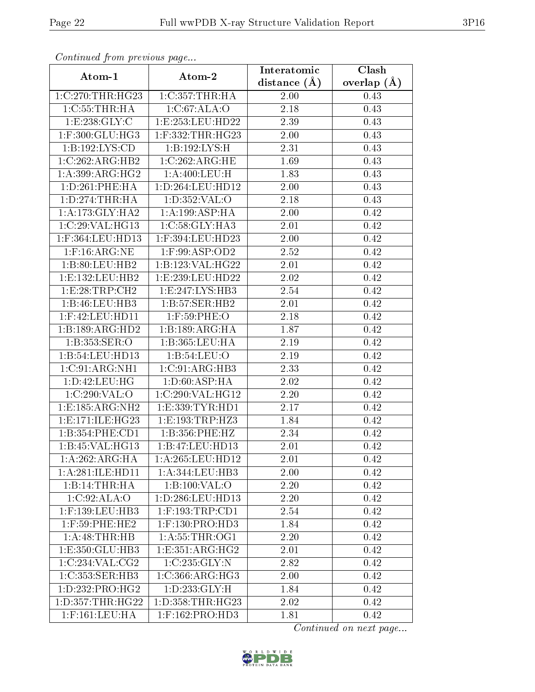| Continuea from previous page    |                          | Interatomic    | $\overline{\text{Clash}}$ |
|---------------------------------|--------------------------|----------------|---------------------------|
| Atom-1                          | Atom-2                   | distance $(A)$ | overlap $(A)$             |
| 1:C:270:THR:HG23                | 1:C:357:THR:HA           | 2.00           | 0.43                      |
| 1:C:55:THR:HA                   | 1:C:67:ALA:O             | 2.18           | 0.43                      |
| 1:E:238:GLY:C                   | 1:E:253:LEU:HD22         | 2.39           | 0.43                      |
| 1:F:300:GLU:HG3                 | 1:F:332:THR:HG23         | $2.00\,$       | 0.43                      |
| 1:B:192:LYS:CD                  | 1:B:192:LYS:H            | 2.31           | 0.43                      |
| 1:C:262:ARG:HB2                 | 1:C:262:ARG:HE           | 1.69           | 0.43                      |
| $1:A:399:AR\overline{G:HG2}$    | 1: A:400: LEU:H          | 1.83           | 0.43                      |
| 1: D: 261: PHE: HA              | 1: D: 264: LEU: HD12     | 2.00           | 0.43                      |
| 1: D: 274: THR: HA              | 1: D: 352: VAL: O        | 2.18           | 0.43                      |
| 1: A:173: GLY: HA2              | 1: A:199: ASP:HA         | 2.00           | 0.42                      |
| 1:C:29:VAL:HG13                 | 1: C:58: GLY:HA3         | 2.01           | 0.42                      |
| 1:F:364:LEU:HD13                | 1:F:394:LEU:HD23         | 2.00           | 0.42                      |
| $1:$ F:16:ARG:NE                | $1:$ F:99:ASP:OD2        | 2.52           | 0.42                      |
| 1:B:80:LEU:HB2                  | 1:B:123:VAL:HG22         | 2.01           | 0.42                      |
| 1:E:132:LEU:HB2                 | 1:E:239:LEU:HD22         | 2.02           | 0.42                      |
| 1:E:28:TRP:CH2                  | 1: E: 247: LYS: HB3      | 2.54           | 0.42                      |
| 1:B:46:LEU:HB3                  | 1:B:57:SER:HB2           | 2.01           | 0.42                      |
| $1:$ F:42:LEU:HD11              | $1:$ F:59:PHE:O          | 2.18           | 0.42                      |
| 1:B:189:ARG:HD2                 | 1:B:189:ARG:HA           | 1.87           | 0.42                      |
| 1: B: 353: SER: O               | 1:B:365:LEU:HA           | 2.19           | 0.42                      |
| 1:B:54:LEU:HD13                 | 1: B:54:LEU:O            | 2.19           | 0.42                      |
| 1:C:91:ARG:NH1                  | 1:C:91:ARG:HB3           | 2.33           | 0.42                      |
| 1:D:42:LEU:HG                   | 1: D:60: ASP: HA         | 2.02           | 0.42                      |
| 1:C:290:VAL:O                   | 1:C:290:VAL:HG12         | 2.20           | 0.42                      |
| 1:E:185:ARG:NH2                 | 1:E:339:TYR:HD1          | 2.17           | 0.42                      |
| 1: E: 171: ILE: HG23            | 1:E:193:TRP:HZ3          | 1.84           | 0.42                      |
| 1:B:354:PHE:CD1                 | 1:B:356:PHE:HZ           | 2.34           | 0.42                      |
| 1:B:45:VAL:HG13                 | 1:B:47:LEU:HD13          | 2.01           | 0.42                      |
| 1:A:262:ARG:HA                  | 1:A:265:LEU:HD12         | 2.01           | 0.42                      |
| 1:A:281:ILE:HD11                | 1: A:344:LEU:HB3         | 2.00           | 0.42                      |
| 1:B:14:THR:HA                   | 1:B:100:VAL:O            | 2.20           | 0.42                      |
| 1:C:92:ALA:O                    | $1: D: 286:$ LEU:HD $13$ | 2.20           | 0.42                      |
| 1:F:139:LEU:HB3                 | $1:$ F:193:TRP:CD1       | 2.54           | 0.42                      |
| $1:$ F:59:PHE:HE2               | $1:$ F:130:PRO:HD3       | 1.84           | 0.42                      |
| 1:A:48:THR:HB                   | 1: A: 55: THR: OG1       | 2.20           | 0.42                      |
| 1:E:350:GLU:HB3                 | 1:E:351:ARG:HG2          | 2.01           | 0.42                      |
| 1:C:234:VAL:CG2                 | 1:C:235:GLY:N            | 2.82           | 0.42                      |
| 1:C:353:SER:HB3                 | 1:C:366:ARG:HG3          | 2.00           | 0.42                      |
| $1: D: 232: PRO:H\overline{G2}$ | 1: D: 233: GLY: H        | 1.84           | 0.42                      |
| 1:D:357:THR:HG22                | 1: D: 358: THR: HG23     | 2.02           | 0.42                      |
| $1:$ F:161:LEU:HA               | $1:$ F:162:PRO:HD3       | 1.81           | 0.42                      |

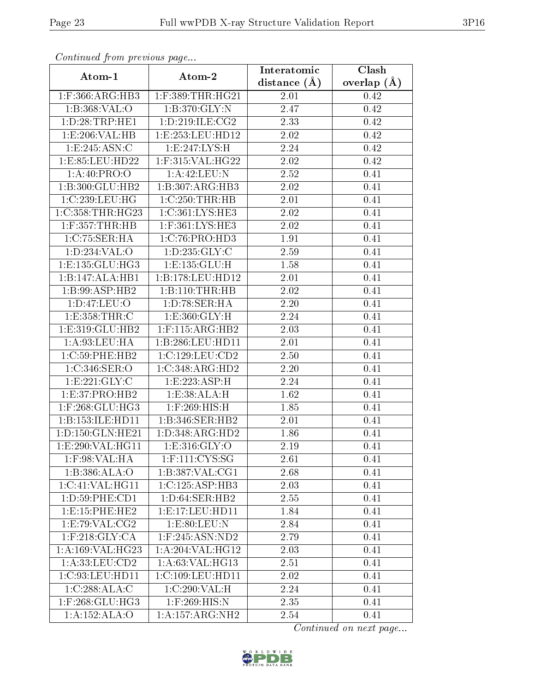| Commuca from previous page          |                     | Interatomic       | Clash           |
|-------------------------------------|---------------------|-------------------|-----------------|
| Atom-1                              | Atom-2              | distance $(A)$    | overlap $(\AA)$ |
| $1:$ F:366:ARG:HB3                  | $1:$ F:389:THR:HG21 | 2.01              | 0.42            |
| 1:B:368:VAL:O                       | 1:B:370:GLY:N       | $\overline{2.47}$ | 0.42            |
| 1: D:28:TRP:HE1                     | 1: D: 219: ILE: CG2 | 2.33              | 0.42            |
| 1:E:206:VAL:HB                      | 1:E:253:LEU:HD12    | $\overline{2}.02$ | 0.42            |
| 1:E:245:ASN:C                       | 1: E: 247: LYS: H   | 2.24              | 0.42            |
| 1:E:85:LEU:HD22                     | $1:$ F:315:VAL:HG22 | 2.02              | 0.42            |
| 1: A:40: PRO:O                      | 1:A:42:LEU:N        | 2.52              | 0.41            |
| 1:B:300:GLU:HB2                     | 1:B:307:ARG:HB3     | 2.02              | 0.41            |
| 1:C:239:LEU:HG                      | 1:C:250:THR:HB      | 2.01              | 0.41            |
| 1:C:358:THR:HG23                    | 1:C:361:LYS:HE3     | 2.02              | 0.41            |
| $1:$ F:357:THR:HB                   | 1:F:361:LYS:HE3     | 2.02              | 0.41            |
| 1:C:75:SER:HA                       | 1:C:76:PRO:HD3      | 1.91              | 0.41            |
| 1: D: 234: VAL: O                   | 1:D:235:GLY:C       | 2.59              | 0.41            |
| 1: E: 135: GLU: HG3                 | 1: E: 135: GLU: H   | 1.58              | 0.41            |
| 1:B:147:ALA:HB1                     | 1:B:178:LEU:HD12    | 2.01              | 0.41            |
| 1:B:99:ASP:HB2                      | 1:B:110:THR:HB      | 2.02              | 0.41            |
| 1:D:47:LEU:O                        | 1: D:78: SER: HA    | 2.20              | 0.41            |
| 1: E: 358: THR: C                   | 1: E:360: GLY: H    | 2.24              | 0.41            |
| 1:E:319:GLU:HB2                     | $1:$ F:115:ARG:HB2  | 2.03              | 0.41            |
| 1: A:93:LEU:HA                      | 1:B:286:LEU:HD11    | 2.01              | 0.41            |
| 1:C:59:PHE:HB2                      | 1:C:129:LEU:CD2     | 2.50              | 0.41            |
| 1:C:346:SER:O                       | 1:C:348:ARG:HD2     | 2.20              | 0.41            |
| 1: E: 221: GLY: C                   | 1:E:223:ASP:H       | 2.24              | 0.41            |
| 1: E: 37: PRO: HB2                  | 1:E:38:ALA:H        | 1.62              | 0.41            |
| $1:$ F:268:GLU:HG3                  | $1:$ F:269:HIS:H    | 1.85              | 0.41            |
| 1:B:153:ILE:HD11                    | 1:B:346:SER:HB2     | 2.01              | 0.41            |
| 1:D:150:GLN:HE21                    | 1:D:348:ARG:HD2     | 1.86              | 0.41            |
| 1:E:290:VAL:HG11                    | 1: E: 316: GLY: O   | 2.19              | 0.41            |
| 1:F:98:VAL:HA                       | 1:F:111:CYS:SG      | 2.61              | 0.41            |
| 1:B:386:ALA:O                       | 1:B:387:VAL:CG1     | 2.68              | 0.41            |
| 1:C:41:VAL:HG11                     | 1:C:125:ASP:HB3     | 2.03              | 0.41            |
| 1: D: 59: PHE: CD1                  | 1: D:64: SER:HB2    | 2.55              | 0.41            |
| 1: E:15: PHE:HE2                    | 1: E: 17: LEU: HD11 | 1.84              | 0.41            |
| 1:E:79:VAL:CG2                      | 1: E:80: LEU: N     | 2.84              | 0.41            |
| $1:$ F:218: $GLY:CA$                | $1:$ F:245:ASN:ND2  | 2.79              | 0.41            |
| 1:A:169:VAL:HG23                    | 1:A:204:VAL:HG12    | 2.03              | 0.41            |
| 1:A:33:LEU:CD2                      | 1: A:63: VAL: HG13  | 2.51              | 0.41            |
| 1:C:93:LEU:HDI1                     | 1:C:109:LEU:HD11    | 2.02              | 0.41            |
| 1:C:288:ALA:C                       | 1:C:290:VAL:H       | 2.24              | 0.41            |
| $1:$ F:268:GLU:HG3                  | $1:$ F:269:HIS:N    | 2.35              | 0.41            |
| $1:A:152:\overline{\mathrm{ALA:O}}$ | 1: A: 157: ARG: NH2 | 2.54              | 0.41            |

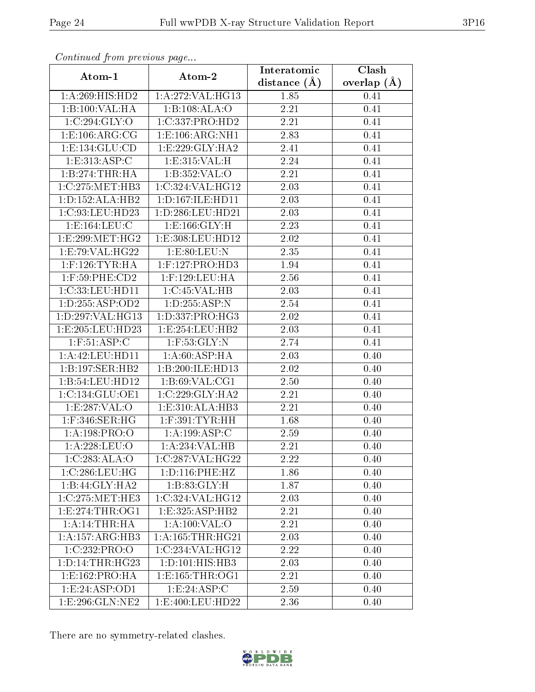| Communa from previous page |                      | Interatomic       | Clash           |
|----------------------------|----------------------|-------------------|-----------------|
| Atom-1                     | Atom-2               | distance $(A)$    | overlap $(\AA)$ |
| 1:A:269:HIS:HD2            | 1:A:272:VAL:HG13     | 1.85              | 0.41            |
| 1:B:100:VAL:H A            | 1:B:108:ALA:O        | 2.21              | 0.41            |
| 1:C:294:GLY:O              | 1:C:337:PRO:HD2      | 2.21              | 0.41            |
| 1: E: 106: ARG: CG         | 1: E: 106: ARG: NH1  | 2.83              | 0.41            |
| 1:E:134:GLU:CD             | 1:E:229:GLY:HA2      | 2.41              | 0.41            |
| 1:E:313:ASP:C              | 1:E:315:VAL:H        | 2.24              | 0.41            |
| 1:B:274:THR:HA             | 1:B:352:VAL:O        | $\overline{2.21}$ | 0.41            |
| 1:C:275:MET:HB3            | 1:C:324:VAL:HG12     | 2.03              | 0.41            |
| 1:D:152:ALA:HB2            | 1:D:167:ILE:HD11     | 2.03              | 0.41            |
| 1:C:93:LEU:HD23            | 1:D:286:LEU:HD21     | 2.03              | 0.41            |
| 1:E:164:LEU:C              | 1: E: 166: GLY: H    | 2.23              | 0.41            |
| 1:E:299:MET:HG2            | 1:E:308:LEU:HD12     | 2.02              | 0.41            |
| 1:E:79:VAL:HG22            | 1:E:80:LEU:N         | 2.35              | 0.41            |
| $1:$ F:126:TYR:HA          | $1:$ F:127:PRO:HD3   | 1.94              | 0.41            |
| 1:F:59:PHE:CD2             | 1:F:129:LEU:HA       | 2.56              | 0.41            |
| 1:C:33:LEU:HDI1            | 1:C:45:VAL:HB        | 2.03              | 0.41            |
| 1: D: 255: ASP: OD2        | 1:D:255:ASP:N        | 2.54              | 0.41            |
| 1:D:297:VAL:HG13           | 1:D:337:PRO:HG3      | 2.02              | 0.41            |
| 1:E:205:LEU:HD23           | 1:E:254:LEU:HB2      | 2.03              | 0.41            |
| $1:$ F:51:ASP:C            | $1:$ F:53:GLY:N      | 2.74              | 0.41            |
| 1:A:42:LEU:HD11            | 1: A:60: ASP: HA     | 2.03              | 0.40            |
| 1:B:197:SER:HB2            | 1:B:200:ILE:HD13     | 2.02              | 0.40            |
| 1:B:54:LEU:HD12            | 1: B:69: VAL:CG1     | 2.50              | 0.40            |
| 1:C:134:GLU:OE1            | 1:C:229:GLY:HA2      | 2.21              | 0.40            |
| 1:E:287:VAL:O              | 1: E: 310: ALA: HB3  | 2.21              | 0.40            |
| $1:$ F:346:SER:HG          | $1:$ F:391:TYR:HH    | 1.68              | 0.40            |
| 1: A: 198: PRO: O          | 1:A:199:ASP:C        | 2.59              | 0.40            |
| $1: A: 228: \text{LEU:O}$  | 1:A:234:VAL:HB       | 2.21              | 0.40            |
| 1:C:283:ALA:O              | 1:C:287:VAL:HG22     | 2.22              | 0.40            |
| 1:C:286:LEU:HG             | 1: D: 116: PHE: HZ   | 1.86              | 0.40            |
| 1:B:44:GLY:HA2             | 1: B:83: GLY: H      | 1.87              | 0.40            |
| 1:C:275:MET:HE3            | 1:C:324:VAL:HG12     | 2.03              | 0.40            |
| 1: E: 274: THR: OG1        | 1: E: 325: ASP: HB2  | 2.21              | 0.40            |
| 1:A:14:THR:HA              | 1: A:100: VAL:O      | 2.21              | 0.40            |
| 1:A:157:ARG:HB3            | 1: A: 165: THR: HG21 | 2.03              | 0.40            |
| 1:C:232:PRO:O              | 1:C:234:VAL:HG12     | 2.22              | 0.40            |
| 1: D: 14: THR: HG23        | 1: D: 101: HIS: HB3  | 2.03              | 0.40            |
| 1:E:162:PRO:HA             | 1:E:165:THR:OG1      | 2.21              | 0.40            |
| 1:E:24:ASP:OD1             | 1: E: 24: ASP: C     | 2.59              | 0.40            |
| 1:E:296:GLN:NE2            | 1:E:400:LEU:HD22     | 2.36              | 0.40            |

There are no symmetry-related clashes.

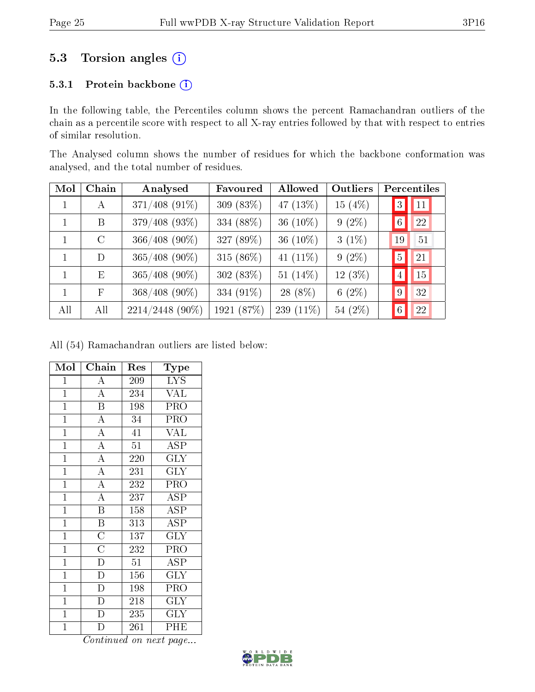### 5.3 Torsion angles (i)

#### 5.3.1 Protein backbone (i)

In the following table, the Percentiles column shows the percent Ramachandran outliers of the chain as a percentile score with respect to all X-ray entries followed by that with respect to entries of similar resolution.

The Analysed column shows the number of residues for which the backbone conformation was analysed, and the total number of residues.

| Mol          | Chain           | Analysed        | Favoured   | Allowed     | Outliers | Percentiles     |    |
|--------------|-----------------|-----------------|------------|-------------|----------|-----------------|----|
| 1            | A               | 371/408 (91%)   | 309 (83%)  | 47 (13%)    | 15 (4%)  | 3               | 11 |
| $\mathbf{1}$ | B               | 379/408 (93%)   | 334 (88%)  | 36 $(10\%)$ | $9(2\%)$ | 6 <sup>1</sup>  | 22 |
| $\mathbf{1}$ | $\rm C$         | 366/408 (90%)   | 327 (89%)  | 36 $(10\%)$ | $3(1\%)$ | 19              | 51 |
| 1            | D               | $365/408$ (90%) | 315 (86%)  | 41 $(11\%)$ | $9(2\%)$ | $\overline{5}$  | 21 |
| $\mathbf{1}$ | $E_{\parallel}$ | $365/408$ (90%) | 302 (83%)  | 51 $(14\%)$ | 12 (3%)  | $\overline{4}$  | 15 |
| 1            | F               | $368/408$ (90%) | 334 (91%)  | 28 (8%)     | $6(2\%)$ | 9               | 32 |
| All          | All             | 2214/2448 (90%) | 1921 (87%) | 239 (11%)   | 54 (2%)  | $6\phantom{.}6$ | 22 |

All (54) Ramachandran outliers are listed below:

| Mol            | Chain                     | Res              | Type                           |
|----------------|---------------------------|------------------|--------------------------------|
| $\mathbf{1}$   | $\overline{\rm A}$        | 209              | <b>LYS</b>                     |
| $\overline{1}$ | $\overline{A}$            | 234              | <b>VAL</b>                     |
| $\mathbf{1}$   | $\overline{\mathrm{B}}$   | 198              | $\overline{\text{PRO}}$        |
| $\mathbf{1}$   | $\overline{\rm A}$        | 34               | PRO                            |
| $\mathbf{1}$   | $\overline{A}$            | 41               | <b>VAL</b>                     |
| $\overline{1}$ | $\overline{A}$            | $\overline{51}$  | $\overline{\text{ASP}}$        |
| $\mathbf{1}$   | $\overline{A}$            | 220              | <b>GLY</b>                     |
| $\overline{1}$ | $\overline{A}$            | 231              | $\overline{\text{GLY}}$        |
| $\mathbf{1}$   | $\overline{A}$            | 232              | $\overline{\text{PRO}}$        |
| $\overline{1}$ | $\overline{A}$            | 237              | $\overline{\rm ASP}$           |
| $\mathbf{1}$   | $\overline{\mathbf{B}}$   | 158              | <b>ASP</b>                     |
| $\mathbf{1}$   | $\frac{1}{\underline{B}}$ | 313              | $\overline{\text{A}}\text{SP}$ |
| $\mathbf{1}$   | $\frac{\overline{C}}{C}$  | 137              | $\overline{\text{GLY}}$        |
| $\overline{1}$ |                           | 232              | $\overline{\text{PRO}}$        |
| $\overline{1}$ | $\frac{1}{D}$             | $\overline{51}$  | $\overline{\rm ASP}$           |
| $\mathbf{1}$   | $\overline{\text{D}}$     | 156              | GLY                            |
| $\mathbf{1}$   | $\overline{\mathrm{D}}$   | 198              | PRO                            |
| $\mathbf{1}$   | $\overline{\rm D}$        | $\overline{2}18$ | $\overline{\text{GLY}}$        |
| $\mathbf{1}$   | $\overline{\text{D}}$     | 235              | <b>GLY</b>                     |
| $\overline{1}$ | D                         | 261              | PHE                            |

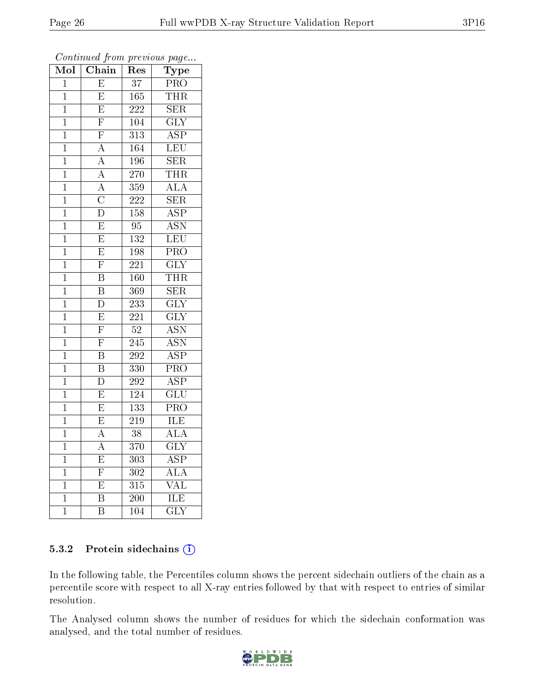| Mol            | $\overline{\text{Chain}}$ | Res              | $\overline{\phantom{a}}$<br>Type |
|----------------|---------------------------|------------------|----------------------------------|
| $\mathbf{1}$   | E                         | 37               | <b>PRO</b>                       |
| $\mathbf 1$    | $\overline{E}$            | 165              | <b>THR</b>                       |
| $\mathbf{1}$   | $\overline{E}$            | 222              | <b>SER</b>                       |
| $\overline{1}$ | $\overline{\mathrm{F}}$   | 104              | $\overline{\text{GLY}}$          |
| $\overline{1}$ | $\overline{F}$            | $\overline{313}$ | $\overline{\text{ASP}}$          |
| $\mathbf{1}$   | $\overline{A}$            | 164              | <b>LEU</b>                       |
| $\mathbf{1}$   | $\overline{A}$            | 196              | $\overline{\text{SER}}$          |
| $\mathbf{1}$   | $\frac{1}{\overline{A}}$  | 270              | <b>THR</b>                       |
| $\mathbf{1}$   | $\overline{A}$            | 359              | <b>ALA</b>                       |
| $\overline{1}$ | $\frac{\overline{C}}{D}$  | 222              | $\overline{\text{SER}}$          |
| $\mathbf{1}$   |                           | 158              | $\overline{\text{ASP}}$          |
| $\mathbf{1}$   | $\overline{E}$            | $\rm 95$         | $\overline{\mathrm{ASN}}$        |
| $\overline{1}$ | $\overline{E}$            | 132              | LEU                              |
| $\overline{1}$ | $\overline{E}$            | 198              | $\overline{\text{PRO}}$          |
| $\overline{1}$ | $\overline{\mathrm{F}}$   | 221              | $\overline{\text{GLY}}$          |
| $\mathbf{1}$   | $\overline{\mathrm{B}}$   | 160              | $\overline{\text{THR}}$          |
| $\overline{1}$ | $\overline{\mathrm{B}}$   | 369              | $\overline{\text{SER}}$          |
| $\mathbf{1}$   | $\overline{\rm D}$        | 233              | <b>GLY</b>                       |
| $\overline{1}$ | $\overline{E}$            | $\overline{221}$ | $\overline{\text{GLY}}$          |
| $\mathbf{1}$   | $\overline{\mathrm{F}}$   | $52\,$           | $\overline{\mathrm{ASN}}$        |
| $\mathbf 1$    | $\overline{\mathrm{F}}$   | 245              | $\overline{\text{ASN}}$          |
| $\mathbf{1}$   | $\overline{\mathbf{B}}$   | 292              | $\overline{\text{ASP}}$          |
| $\overline{1}$ | $\overline{\mathrm{B}}$   | 330              | $\overline{\text{PRO}}$          |
| $\overline{1}$ | $\overline{\rm D}$        | 292              | $\overline{\text{ASP}}$          |
| $\mathbf{1}$   | $\overline{\mathrm{E}}$   | 124              | GLU                              |
| $\mathbf{1}$   | $\overline{E}$            | 133              | $\overline{\text{PRO}}$          |
| $\mathbf{1}$   | $\overline{\mathrm{E}}$   | 219              | ILE                              |
| $\mathbf{1}$   | $\overline{\rm A}$        | $\overline{38}$  | ALA                              |
| $\overline{1}$ | $\overline{\rm A}$        | 370              | $\overline{\mathrm{GLY}}$        |
| 1              | E                         | 303              | $\rm{ASP}$                       |
| 1              | $\overline{\mathrm{F}}$   | 302              | ALA                              |
| $\mathbf 1$    | $\overline{\mathrm{E}}$   | 315              | <b>VAL</b>                       |
| $\mathbf 1$    | Β                         | 200              | ILE                              |
| $\overline{1}$ | $\overline{\mathrm{B}}$   | 104              | $\overline{\text{GLY}}$          |

Continued from previous page...

#### 5.3.2 Protein sidechains (i)

In the following table, the Percentiles column shows the percent sidechain outliers of the chain as a percentile score with respect to all X-ray entries followed by that with respect to entries of similar resolution.

The Analysed column shows the number of residues for which the sidechain conformation was analysed, and the total number of residues.

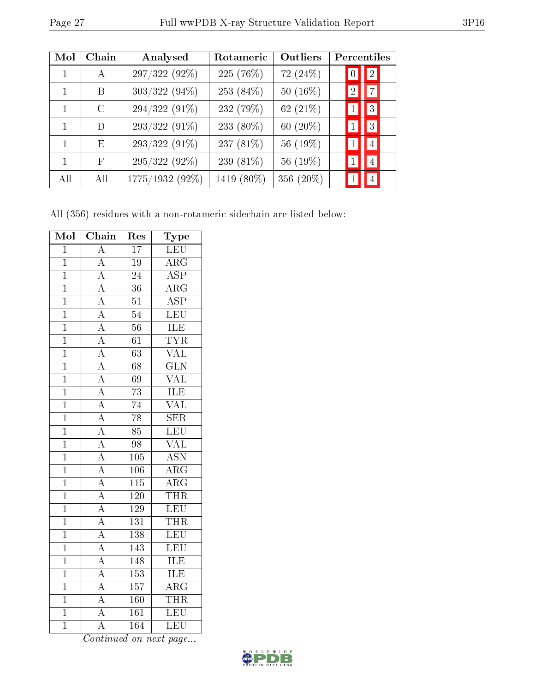|--|--|

| Mol          | Chain         | Analysed        | Rotameric  | Outliers    | Percentiles                      |
|--------------|---------------|-----------------|------------|-------------|----------------------------------|
| 1            | $\mathsf{A}$  | 297/322 (92%)   | 225 (76%)  | 72(24%)     | $\overline{2}$<br>$\overline{0}$ |
| 1            | B             | $303/322(94\%)$ | 253 (84%)  | 50 $(16\%)$ | $\overline{7}$<br>$\overline{2}$ |
| 1            | $\mathcal{C}$ | 294/322 (91%)   | 232 (79%)  | 62 $(21\%)$ | 3                                |
| $\mathbf{1}$ | D             | 293/322 (91%)   | 233 (80%)  | 60 $(20\%)$ | $\overline{3}$                   |
| 1            | E             | $293/322(91\%)$ | 237 (81%)  | 56 (19%)    | $\overline{4}$                   |
| 1            | F             | 295/322 (92%)   | 239 (81%)  | 56 (19%)    | $\overline{4}$                   |
| All          | All           | 1775/1932 (92%) | 1419 (80%) | 356 (20%)   | $\overline{4}$                   |

All (356) residues with a non-rotameric sidechain are listed below:

| Mol            | Chain                                                                   | Res              | Type                    |
|----------------|-------------------------------------------------------------------------|------------------|-------------------------|
| $\overline{1}$ | $\overline{A}$                                                          | $\overline{17}$  | LEU                     |
| $\overline{1}$ |                                                                         | 19               | $\overline{\rm ARG}$    |
| $\overline{1}$ | $\frac{\overline{A}}{\overline{A}}$                                     | $\overline{24}$  | $\overline{\text{ASP}}$ |
| $\mathbf{1}$   |                                                                         | 36               | $\overline{\rm{ARG}}$   |
| $\overline{1}$ | $\frac{\overline{A}}{\overline{A}}$                                     | $\overline{51}$  | $\overline{\text{ASP}}$ |
| $\overline{1}$ |                                                                         | $\overline{54}$  | LEU                     |
| $\mathbf{1}$   |                                                                         | 56               | <b>ILE</b>              |
| $\overline{1}$ | $\frac{\overline{A}}{\overline{A}}$ $\frac{\overline{A}}{\overline{A}}$ | $\overline{61}$  | <b>TYR</b>              |
| $\overline{1}$ |                                                                         | $\overline{63}$  | $\overline{\text{VAL}}$ |
| $\overline{1}$ |                                                                         | $\overline{68}$  | $\overline{\text{GLN}}$ |
| $\mathbf{1}$   | $\frac{\overline{A}}{\overline{A}}$ $\frac{\overline{A}}{\overline{A}}$ | 69               | <b>VAL</b>              |
| $\overline{1}$ |                                                                         | $\overline{73}$  | <b>ILE</b>              |
| $\overline{1}$ |                                                                         | $\overline{74}$  | $\overline{\text{VAL}}$ |
| $\mathbf{1}$   |                                                                         | $\overline{78}$  | <b>SER</b>              |
| $\overline{1}$ | $\overline{A}$                                                          | $\overline{85}$  | $\overline{\text{LEU}}$ |
| $\overline{1}$ | $\frac{\overline{A}}{\overline{A}}$ $\frac{\overline{A}}{\overline{A}}$ | 98               | <b>VAL</b>              |
| $\mathbf{1}$   |                                                                         | 105              | $\overline{\text{ASN}}$ |
| $\overline{1}$ |                                                                         | 106              | $\overline{\rm{ARG}}$   |
| $\overline{1}$ |                                                                         | 115              | $\overline{\rm ARG}$    |
| $\overline{1}$ |                                                                         | $\overline{120}$ | <b>THR</b>              |
| $\overline{1}$ |                                                                         | 129              | LEU                     |
| $\overline{1}$ | $\frac{\overline{A}}{\overline{A}}$ $\frac{\overline{A}}{\overline{A}}$ | $\overline{131}$ | <b>THR</b>              |
| $\overline{1}$ |                                                                         | 138              | LEU                     |
| $\mathbf{1}$   |                                                                         | 143              | LEU                     |
| $\overline{1}$ |                                                                         | 148              | <b>ILE</b>              |
| $\overline{1}$ | $\frac{\overline{A}}{\overline{A}}$                                     | 153              | ILE                     |
| $\overline{1}$ |                                                                         | $\overline{157}$ | $\overline{\rm{ARG}}$   |
| $\mathbf{1}$   | $\overline{A}$                                                          | 160              | <b>THR</b>              |
| $\mathbf{1}$   | $\overline{\rm A}$                                                      | $\overline{161}$ | $\overline{\text{LEU}}$ |
| $\overline{1}$ | $\overline{\rm A}$                                                      | 164              | $\overline{\text{LEU}}$ |

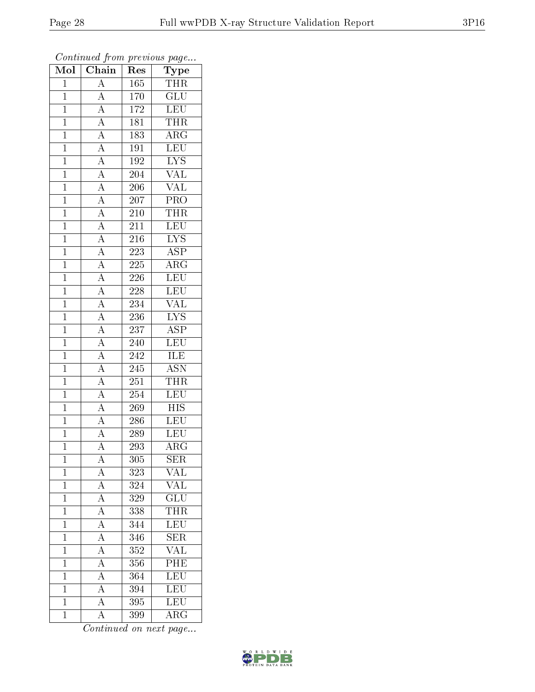| Mol            | $\boldsymbol{\mathcal{S}}$<br>$\overline{\text{Chain}}$                                                     | x.<br>Res        | x.<br>س ⊶<br>Type         |
|----------------|-------------------------------------------------------------------------------------------------------------|------------------|---------------------------|
| $\mathbf{1}$   | $\boldsymbol{A}$                                                                                            | $\overline{1}65$ | THR                       |
| $\overline{1}$ | $\overline{A}$                                                                                              | 170              | $\overline{\text{GLU}}$   |
| $\overline{1}$ | $\overline{A}$                                                                                              | 172              | <b>LEU</b>                |
| $\overline{1}$ | $\overline{A}$                                                                                              | 181              | <b>THR</b>                |
| $\overline{1}$ | $\frac{\overline{A}}{\overline{A}}$                                                                         | 183              | $\overline{\rm{ARG}}$     |
| $\overline{1}$ |                                                                                                             | 191              | LEU                       |
| $\mathbf{1}$   | $\overline{A}$                                                                                              | 192              | $\overline{\text{LYS}}$   |
| $\mathbf{1}$   | $\overline{A}$                                                                                              | $\overline{2}04$ | $\overline{\text{VAL}}$   |
| $\overline{1}$ | $\frac{\overline{A}}{\overline{A}}$                                                                         | 206              | <b>VAL</b>                |
| $\overline{1}$ |                                                                                                             | $\overline{2}07$ | $\overline{\text{PRO}}$   |
| $\mathbf{1}$   |                                                                                                             | 210              | <b>THR</b>                |
| $\mathbf{1}$   |                                                                                                             | 211              | <b>LEU</b>                |
| $\mathbf{1}$   |                                                                                                             | 216              | $\overline{LYS}$          |
| $\overline{1}$ | $\frac{\overline{A}}{\overline{A}}$ $\frac{\overline{A}}{\overline{A}}$ $\frac{\overline{A}}{\overline{A}}$ | 223              | $\overline{\text{ASP}}$   |
| $\overline{1}$ |                                                                                                             | 225              | $\overline{\rm{ARG}}$     |
| $\mathbf{1}$   |                                                                                                             | 226              | LEU                       |
| $\mathbf{1}$   | $\frac{\overline{A}}{\overline{A}}$                                                                         | 228              | <b>LEU</b>                |
| $\overline{1}$ |                                                                                                             | 234              | <b>VAL</b>                |
| $\overline{1}$ | $\overline{A}$                                                                                              | 236              | $\overline{\text{LYS}}$   |
| $\mathbf{1}$   | $\overline{A}$                                                                                              | 237              | $\overline{\text{ASP}}$   |
| $\mathbf{1}$   | $\frac{\overline{A}}{\overline{A}}$                                                                         | 240              | <b>LEU</b>                |
| $\mathbf{1}$   |                                                                                                             | 242              | <b>ILE</b>                |
| $\overline{1}$ |                                                                                                             | 245              | <b>ASN</b>                |
| $\overline{1}$ | $\overline{A}$                                                                                              | 251              | THR                       |
| $\overline{1}$ | $\overline{A}$                                                                                              | 254              | LEU                       |
| $\mathbf{1}$   | $\overline{A}$                                                                                              | 269              | <b>HIS</b>                |
| $\overline{1}$ | $\overline{A}$                                                                                              | 286              | LEU                       |
| $\overline{1}$ | $\overline{A}$                                                                                              | 289              | <b>LEU</b>                |
| $\overline{1}$ | $\overline{\rm A}$                                                                                          | 293              | $\overline{\rm{ARG}}$     |
| $\mathbf 1$    | $\rm A$                                                                                                     | 305              | <b>SER</b>                |
| $\mathbf{1}$   | $\boldsymbol{A}$                                                                                            | 323              | VAL                       |
| $\mathbf{1}$   | $\frac{\overline{A}}{\overline{A}}$                                                                         | 324              | <b>VAL</b>                |
| $\mathbf{1}$   |                                                                                                             | 329              | $\overline{\text{GLU}}$   |
| $\overline{1}$ | $\frac{\overline{A}}{\overline{A}}$                                                                         | 338              | $\overline{\text{THR}}$   |
| $\mathbf 1$    |                                                                                                             | 344              | <b>LEU</b>                |
| $\mathbf{1}$   | $\frac{\overline{A}}{A}$                                                                                    | 346              | $\overline{\text{SER}}$   |
| $\mathbf{1}$   |                                                                                                             | 352              | $\overline{\text{VAL}}$   |
| $\overline{1}$ | $\overline{A}$                                                                                              | 356              | $\overline{\mathrm{PHE}}$ |
| $\mathbf{1}$   | $\frac{\overline{A}}{A}$                                                                                    | 364              | $\frac{1}{LEU}$           |
| $\mathbf{1}$   |                                                                                                             | 394              | LEU                       |
| $\mathbf{1}$   | $\overline{A}$                                                                                              | 395              | LEU                       |
| $\bar{1}$      | $\overline{\rm A}$                                                                                          | 399              | $\rm{ARG}$                |

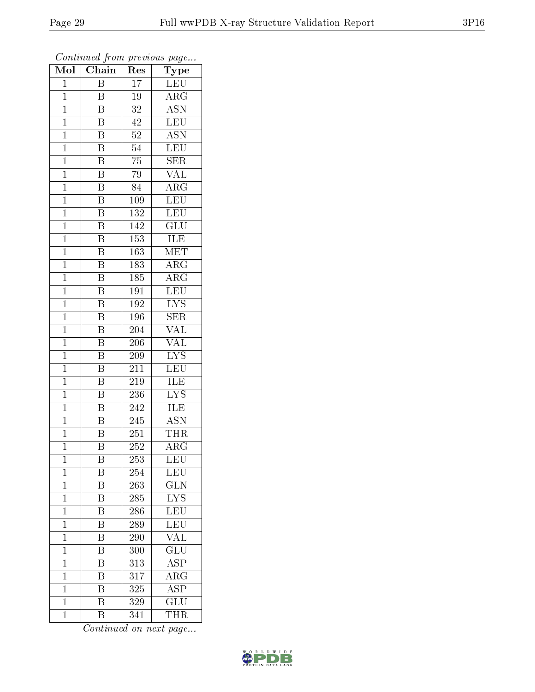| Mol            | $\overline{\text{Chain}}$ | r -<br>Res       | x.<br>س .<br>Type         |
|----------------|---------------------------|------------------|---------------------------|
| $\mathbf{1}$   | Β                         | 17               | LEU                       |
| $\mathbf{1}$   | B                         | 19               | $\rm{ARG}$                |
| $\mathbf{1}$   | $\rm \bar{B}$             | 32               | $\overline{\mathrm{ASN}}$ |
| $\mathbf 1$    | B                         | 42               | LEU                       |
| $\overline{1}$ | $\overline{\mathrm{B}}$   | 52               | $\overline{\text{ASN}}$   |
| $\mathbf 1$    | B                         | 54               | <b>LEU</b>                |
| $\mathbf 1$    | B                         | $75\,$           | <b>SER</b>                |
| $\mathbf 1$    | $\overline{\mathrm{B}}$   | 79               | $\overline{\text{VAL}}$   |
| $\mathbf{1}$   | $\overline{\text{B}}$     | 84               | $AR\overline{G}$          |
| $\mathbf 1$    | $\overline{\mathrm{B}}$   | 109              | LEU                       |
| $\mathbf{1}$   | $\overline{\mathrm{B}}$   | 132              | <b>LEU</b>                |
| $\mathbf{1}$   | $\overline{\mathrm{B}}$   | 142              | $\overline{{\rm GLU}}$    |
| $\mathbf{1}$   | $\overline{\mathbf{B}}$   | 153              | ILE                       |
| $\mathbf 1$    | $\boldsymbol{B}$          | 163              | <b>MET</b>                |
| $\overline{1}$ | $\overline{\mathrm{B}}$   | 183              | $\overline{\rm{ARG}}$     |
| $\mathbf{1}$   | Β                         | 185              | $\rm{ARG}$                |
| $\mathbf{1}$   | $\overline{\mathrm{B}}$   | $\overline{191}$ | <b>LEU</b>                |
| $\mathbf 1$    | B                         | 192              | <b>LYS</b>                |
| $\mathbf{1}$   | $\overline{\mathrm{B}}$   | 196              | <b>SER</b>                |
| $\mathbf{1}$   | $\overline{\mathrm{B}}$   | 204              | VAL                       |
| $\mathbf{1}$   | $\overline{\mathrm{B}}$   | 206              | VAL                       |
| $\mathbf{1}$   | $\overline{\mathrm{B}}$   | 209              | $\overline{\text{LYS}}$   |
| $\mathbf 1$    | B                         | 211              | <b>LEU</b>                |
| $\overline{1}$ | Β                         | 219              | <b>ILE</b>                |
| $\mathbf 1$    | $\overline{\mathrm{B}}$   | 236              | $\overline{\text{LYS}}$   |
| $\mathbf 1$    | $\overline{\mathrm{B}}$   | 242              | ILE                       |
| $\mathbf 1$    | Β                         | 245              | $\overline{\mathrm{ASN}}$ |
| $\overline{1}$ | $\overline{\mathrm{B}}$   | 251              | <b>THR</b>                |
| $\overline{1}$ | $\overline{\mathrm{B}}$   | 252              | $\overline{\rm{ARG}}$     |
| 1              | Β                         | 253              | LEU                       |
| $\mathbf 1$    | B                         | 254              | LEU                       |
| $\mathbf{1}$   | $\overline{\mathrm{B}}$   | 263              | $\overline{\text{GLN}}$   |
| $\mathbf{1}$   | B                         | 285              | <b>LYS</b>                |
| $\mathbf 1$    | $\overline{\mathrm{B}}$   | 286              | $\overline{\text{LEU}}$   |
| $\mathbf{1}$   | Β                         | 289              | LEU                       |
| $\mathbf 1$    | $\overline{\mathrm{B}}$   | 290              | $\overline{\text{VAL}}$   |
| $\mathbf 1$    | Β                         | 300              | $\overline{\text{GLU}}$   |
| $\overline{1}$ | $\overline{\mathrm{B}}$   | 313              | $\overline{\text{ASP}}$   |
| $\mathbf{1}$   | $\overline{\mathrm{B}}$   | 317              | $\overline{\rm{ARG}}$     |
| $\mathbf{1}$   | $\overline{\mathrm{B}}$   | 325              | <b>ASP</b>                |
| $\mathbf 1$    | $\overline{\mathrm{B}}$   | 329              | $\overline{\text{GLU}}$   |
| $\mathbf{1}$   | $\overline{B}$            | 341              | <b>THR</b>                |

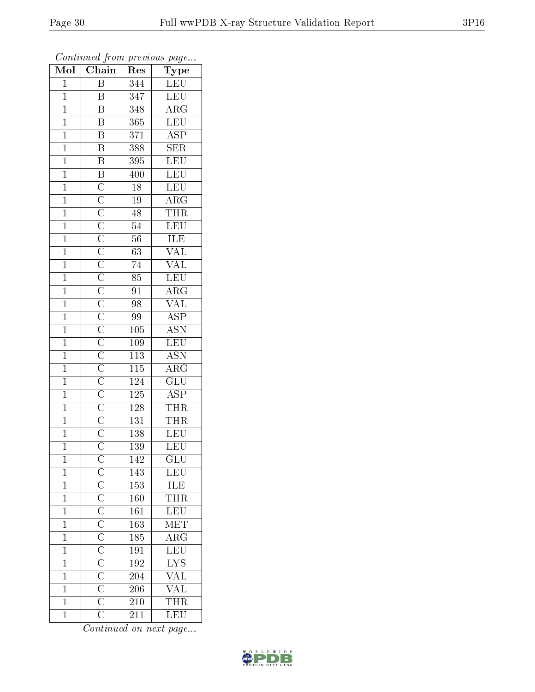| Mol            | $\overline{\phantom{a}}$<br>Chain | Res              | $\mathbf{r}$ - $\mathbf{v}$<br>Type      |
|----------------|-----------------------------------|------------------|------------------------------------------|
| $\mathbf 1$    | Β                                 | $\overline{344}$ | ${\rm LEU}$                              |
| $\mathbf{1}$   | B                                 | 347              | <b>LEU</b>                               |
| $\overline{1}$ | $\overline{\mathrm{B}}$           | 348              | $\overline{\rm{ARG}}$                    |
| $\mathbf{1}$   | $\overline{\mathrm{B}}$           | 365              | LEU                                      |
| $\overline{1}$ | $\overline{B}$                    | 371              | $\overline{\text{ASP}}$                  |
| $\overline{1}$ | $\overline{\mathrm{B}}$           | 388              | $\overline{\text{SER}}$                  |
| $\mathbf{1}$   | $\overline{\mathbf{B}}$           | 395              | $\overline{\text{LEU}}$                  |
| $\mathbf{1}$   |                                   | 400              | LEU                                      |
| $\overline{1}$ |                                   | 18               | <b>LEU</b>                               |
| $\mathbf{1}$   |                                   | $19\,$           | $\overline{\rm{ARG}}$                    |
| $\mathbf{1}$   |                                   | 48               | THR                                      |
| $\mathbf{1}$   |                                   | $\overline{54}$  | LEU                                      |
| $\overline{1}$ |                                   | $56\,$           | ILE                                      |
| $\mathbf{1}$   |                                   | $\overline{63}$  | $\overline{\text{VAL}}$                  |
| $\overline{1}$ |                                   | 74               | $\overline{\text{VAL}}$                  |
| $\mathbf{1}$   |                                   | 85               | LEU                                      |
| $\overline{1}$ |                                   | 91               | $\overline{\rm ARG}$                     |
| $\mathbf{1}$   |                                   | 98               | $\overline{\text{VAL}}$                  |
| $\overline{1}$ |                                   | $\overline{99}$  | $\overline{\text{ASP}}$                  |
| $\overline{1}$ |                                   | 105              | <b>ASN</b>                               |
| $\mathbf{1}$   |                                   | 109              | LEU                                      |
| $\overline{1}$ |                                   | $\overline{113}$ | <b>ASN</b>                               |
| $\mathbf 1$    |                                   | $\overline{115}$ | $\overline{\rm{ARG}}$                    |
| $\overline{1}$ |                                   | <sup>124</sup>   | $\overline{\mathrm{GLU}}$                |
| $\overline{1}$ |                                   | $\overline{125}$ | $\overline{\text{ASP}}$                  |
| $\mathbf{1}$   |                                   | 128              | <b>THR</b>                               |
| $\mathbf{1}$   |                                   | 131              | <b>THR</b>                               |
| $\overline{1}$ |                                   | $138\,$          | <b>LEU</b>                               |
| $\overline{1}$ |                                   | 139              | $\overline{\text{LEU}}$                  |
| 1              |                                   | 142              | GLU                                      |
| $\mathbf{1}$   |                                   | 143              | LEU                                      |
| $\overline{1}$ |                                   | 153              | ILE                                      |
| $\mathbf{1}$   |                                   | 160              | THR                                      |
| $\overline{1}$ |                                   | $\overline{161}$ | LEU                                      |
| $\mathbf{1}$   |                                   | 163              | <b>MET</b>                               |
| $\mathbf 1$    |                                   | 185              | $\overline{\text{ARG}}$                  |
| $\mathbf 1$    |                                   | 191              |                                          |
| $\mathbf 1$    |                                   | 192              | $rac{\overline{\text{LEU}}}{\text{LYS}}$ |
| $\mathbf 1$    |                                   | 204              | $\frac{\text{VAL}}{\text{VAL}}$          |
| $\mathbf{1}$   |                                   | 206              |                                          |
| $\mathbf 1$    |                                   | $\overline{210}$ | THR                                      |
| $\mathbf{1}$   |                                   | 211              | $\overline{\text{LEU}}$                  |

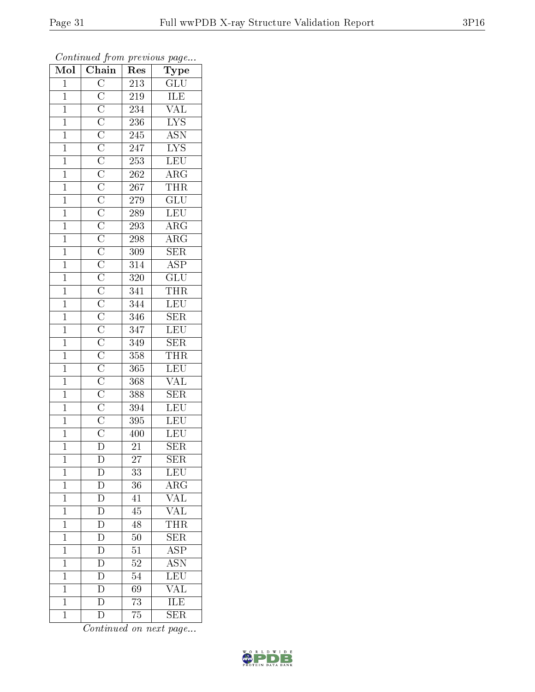| Mol            | $\cdots$<br>$\overline{\text{Chain}}$ | $\mathbf{r}$ .<br>Res | $r \sim 3$<br>Type                         |
|----------------|---------------------------------------|-----------------------|--------------------------------------------|
| $\overline{1}$ |                                       | 213                   | $\overline{\mathrm{GLU}}$                  |
| $\overline{1}$ |                                       | 219                   | <b>ILE</b>                                 |
| $\overline{1}$ |                                       | 234                   | <b>VAL</b>                                 |
| $\mathbf{1}$   |                                       | 236                   | $\overline{\text{LYS}}$                    |
| $\overline{1}$ |                                       | $\overline{245}$      | $\overline{\mathrm{ASN}}$                  |
| $\overline{1}$ |                                       | $\overline{247}$      | <b>LYS</b>                                 |
| $\overline{1}$ |                                       | 253                   | LEU                                        |
| $\overline{1}$ |                                       | $\overline{262}$      | $\overline{\rm ARG}$                       |
| $\mathbf{1}$   |                                       | $\overline{2}67$      | THR                                        |
| $\overline{1}$ |                                       | 279                   | $\overline{\text{GLU}}$                    |
| $\overline{1}$ |                                       | 289                   | LEU                                        |
| $\overline{1}$ |                                       | 293                   | $\overline{\rm{ARG}}$                      |
| $\mathbf{1}$   |                                       | 298                   | $\overline{\text{ARG}}$                    |
| $\mathbf{1}$   |                                       | 309                   | $\overline{\text{SER}}$                    |
| $\overline{1}$ |                                       | $\overline{314}$      | $\overline{\text{ASP}}$                    |
| $\mathbf{1}$   |                                       | 320                   | $\overline{\text{GLU}}$                    |
| $\overline{1}$ |                                       | $\overline{341}$      | <b>THR</b>                                 |
| $\mathbf{1}$   |                                       | 344                   | LEU                                        |
| $\overline{1}$ |                                       | 346                   | $\overline{\text{SER}}$                    |
| $\mathbf{1}$   |                                       | 347                   | LEU                                        |
| $\overline{1}$ |                                       | 349                   | SER                                        |
| $\overline{1}$ |                                       | 358                   | $\frac{\overline{\text{THR}}}{\text{LEV}}$ |
| $\mathbf{1}$   |                                       | 365                   |                                            |
| $\mathbf{1}$   |                                       | 368                   | <b>VAL</b>                                 |
| $\overline{1}$ |                                       | 388                   | $\overline{\text{SER}}$                    |
| $\overline{1}$ |                                       | 394                   | LEU                                        |
| $\overline{1}$ |                                       | $\overline{395}$      | $\overline{\text{LEU}}$                    |
| $\mathbf{1}$   |                                       | 400                   | LEU                                        |
| $\overline{1}$ | $\frac{0}{D}$                         | $\overline{21}$       | $\overline{\text{SER}}$                    |
| 1              | D                                     | 27                    | $\rm{SER}$                                 |
| $\overline{1}$ | D                                     | 33                    | $\overline{\text{LEU}}$                    |
| $\mathbf{1}$   | $\overline{D}$                        | 36                    | $\overline{\text{ARG}}$                    |
| $\mathbf{1}$   | $\overline{D}$                        | 41                    | <b>VAL</b>                                 |
| $\mathbf{1}$   | $\overline{D}$                        | 45                    | $\overline{\text{VAL}}$                    |
| $\mathbf{1}$   | $\overline{D}$                        | 48                    | $\overline{\text{THR}}$                    |
| $\overline{1}$ | $\overline{D}$                        | 50                    | $\overline{\text{SER}}$                    |
| $\mathbf 1$    | $\overline{D}$                        | $\overline{51}$       | $\overline{\text{ASP}}$                    |
| $\mathbf{1}$   | $\overline{\rm D}$                    | 52                    | $\overline{\mathrm{ASN}}$                  |
| $\mathbf{1}$   | $\overline{D}$                        | 54                    | LEU                                        |
| $\mathbf{1}$   | $\overline{\rm D}$                    | 69                    | $\overline{\text{VAL}}$                    |
| $\mathbf 1$    | $\overline{\rm D}$                    | 73                    | ILE                                        |
| $\mathbf{1}$   | $\overline{\rm D}$                    | 75                    | $\overline{\text{SER}}$                    |

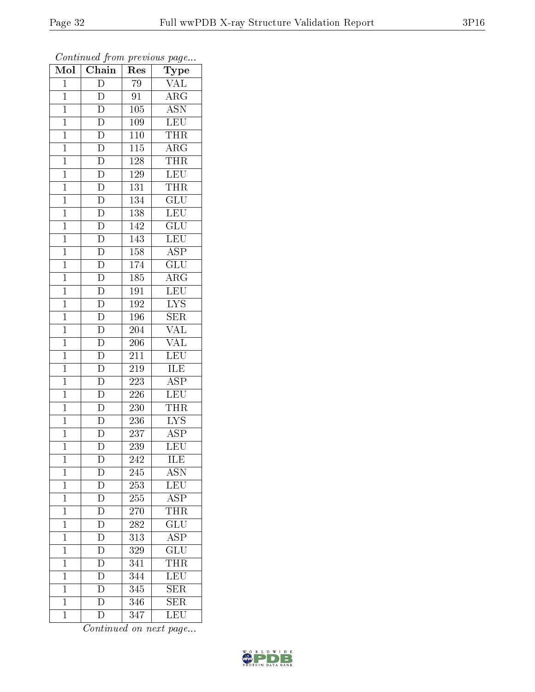| Mol            | Chain                    | Res              | $\overline{\phantom{a}}$<br>Type |
|----------------|--------------------------|------------------|----------------------------------|
| $\mathbf{1}$   | D                        | 79               | <b>VAL</b>                       |
| $\mathbf 1$    | D                        | 91               | $\overline{\rm{ARG}}$            |
| $\mathbf{1}$   | $\overline{\rm D}$       | 105              | $\overline{\text{ASN}}$          |
| $\overline{1}$ | $\overline{\rm D}$       | 109              | LEU                              |
| $\mathbf{1}$   | $\overline{\rm D}$       | 110              | <b>THR</b>                       |
| $\mathbf{1}$   | $\overline{\rm D}$       | $\overline{1}15$ | $\overline{\rm{ARG}}$            |
| $\mathbf{1}$   | $\overline{D}$           | 128              | <b>THR</b>                       |
| $\mathbf{1}$   | $\overline{D}$           | 129              | <b>LEU</b>                       |
| $\mathbf{1}$   | $\overline{D}$           | 131              | <b>THR</b>                       |
| $\overline{1}$ | $\overline{D}$           | 134              | $\overline{{\rm GLU}}$           |
| $\mathbf{1}$   | $\overline{D}$           | 138              | <b>LEU</b>                       |
| $\mathbf{1}$   | $\overline{D}$           | 142              | $\overline{\text{GLU}}$          |
| $\mathbf{1}$   | $\overline{D}$           | 143              | LEU                              |
| $\overline{1}$ | $\overline{D}$           | 158              | <b>ASP</b>                       |
| $\overline{1}$ | $\overline{\rm D}$       | 174              | $\overline{\text{GLU}}$          |
| $\mathbf{1}$   | $\frac{1}{D}$            | 185              | $\rm{ARG}$                       |
| $\mathbf{1}$   | $\frac{1}{\overline{D}}$ | $\overline{191}$ | LEU                              |
| $\mathbf{1}$   | $\overline{D}$           | 192              | $\overline{LYS}$                 |
| $\overline{1}$ | $\overline{\rm D}$       | 196              | $\overline{\text{SER}}$          |
| $\overline{1}$ | $\overline{D}$           | 204              | $\overline{\text{VAL}}$          |
| $\mathbf{1}$   | $\overline{D}$           | 206              | $\overline{\text{VAL}}$          |
| $\mathbf{1}$   | $\overline{D}$           | 211              | $\overline{\text{LEU}}$          |
| $\overline{1}$ | $\overline{\rm D}$       | 219              | ILE                              |
| $\mathbf{1}$   | $\overline{\mathrm{D}}$  | 223              | $\overline{\text{ASP}}$          |
| $\mathbf{1}$   | $\overline{\rm D}$       | 226              | <b>LEU</b>                       |
| $\mathbf{1}$   | $\overline{D}$           | 230              | <b>THR</b>                       |
| $\mathbf{1}$   | $\overline{D}$           | 236              | $\overline{\text{LYS}}$          |
| $\mathbf{1}$   | $\overline{\rm D}$       | 237              | $\overline{\text{ASP}}$          |
| $\overline{1}$ | $\overline{\rm D}$       | 239              | $\overline{\text{LEU}}$          |
| $\mathbf 1$    | $\mathbf D$              | 242              | ILE                              |
| $\mathbf{1}$   | $\mathbf D$              | 245              | $\overline{\mathrm{ASN}}$        |
| $\mathbf{1}$   | $\overline{D}$           | 253              | LEU                              |
| $\mathbf{1}$   | $\mathbf D$              | 255              | $\overline{\text{ASP}}$          |
| $\overline{1}$ | $\overline{\rm D}$       | 270              | <b>THR</b>                       |
| $\mathbf{1}$   | $\overline{\rm D}$       | 282              | $\overline{\text{GLU}}$          |
| $\mathbf 1$    | $\overline{D}$           | 313              | $\overline{\text{ASP}}$          |
| $\mathbf 1$    | $\overline{\rm D}$       | 329              | $\overline{{\rm GLU}}$           |
| $\overline{1}$ | D                        | 341              | <b>THR</b>                       |
| $\mathbf{1}$   | $\overline{\rm D}$       | 344              | LEU                              |
| $\mathbf 1$    | $\overline{D}$           | 345              | $\overline{\text{SER}}$          |
| $\mathbf 1$    | $\overline{\rm D}$       | 346              | $\overline{\text{SER}}$          |
| $\mathbf{1}$   | $\overline{\rm D}$       | 347              | LEU                              |

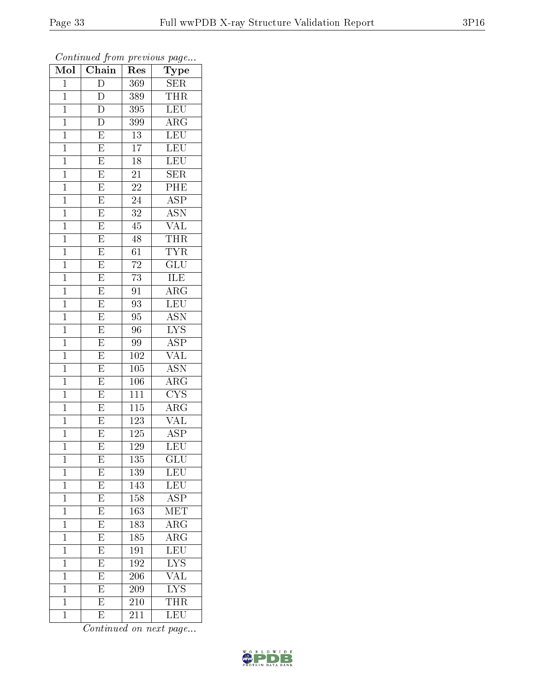| $\overline{\text{Mol}}$ | $\sim$ $\sim$<br>Chain  | r -<br>Res       | $\mathbf{r}$ $\sim$ $\mathbf{v}$<br>Type |
|-------------------------|-------------------------|------------------|------------------------------------------|
| $\mathbf{1}$            | $\overline{D}$          | 369              | SER                                      |
| $\mathbf{1}$            | D                       | 389              | <b>THR</b>                               |
| $\overline{1}$          | $\overline{\rm D}$      | 395              | LEU                                      |
| $\overline{1}$          | $\overline{D}$          | 399              | $\overline{\rm{ARG}}$                    |
| $\overline{1}$          | $\overline{\mathrm{E}}$ | $\overline{13}$  | LEU                                      |
| $\mathbf 1$             | $\overline{\mathrm{E}}$ | $\overline{17}$  | $\overline{\text{LEU}}$                  |
| $\mathbf 1$             | $\overline{\mathrm{E}}$ | 18               | LEU                                      |
| $\mathbf 1$             | $\overline{E}$          | 21               | $\overline{\text{SER}}$                  |
| $\overline{1}$          | $\overline{E}$          | 22               | $\overline{\text{PHE}}$                  |
| $\mathbf 1$             | $\overline{E}$          | $\overline{24}$  | $\overline{\text{ASP}}$                  |
| $\mathbf{1}$            | $\overline{\mathrm{E}}$ | 32               | <b>ASN</b>                               |
| $\mathbf{1}$            | $\overline{\mathrm{E}}$ | 45               | $\overline{\text{VAL}}$                  |
| $\mathbf{1}$            | $\overline{\mathrm{E}}$ | $\overline{48}$  | <b>THR</b>                               |
| $\mathbf{1}$            | $\overline{E}$          | $\overline{61}$  | $\overline{\text{TYR}}$                  |
| $\overline{1}$          | $\overline{\mathrm{E}}$ | $\overline{72}$  | $\overline{\text{GLU}}$                  |
| $\mathbf{1}$            | $\mathbf E$             | $\overline{73}$  | ILE                                      |
| $\mathbf{1}$            | $\overline{E}$          | $\overline{91}$  | $\overline{\rm{ARG}}$                    |
| $\mathbf 1$             | $\overline{E}$          | 93               | $\overline{\textrm{LEU}}$                |
| $\overline{1}$          | $\overline{\mathrm{E}}$ | $\overline{95}$  | $\overline{\text{ASN}}$                  |
| $\mathbf{1}$            | $\overline{\mathrm{E}}$ | 96               | $\overline{\text{LYS}}$                  |
| $\mathbf{1}$            | $\overline{\mathrm{E}}$ | 99               | $\overline{\text{ASP}}$                  |
| $\mathbf{1}$            | $\overline{\mathrm{E}}$ | 102              | $\overline{\text{VAL}}$                  |
| $\mathbf 1$             | E                       | $\overline{10}5$ | <b>ASN</b>                               |
| $\overline{1}$          | $\overline{\mathrm{E}}$ | 106              | $\overline{\rm{ARG}}$                    |
| $\overline{1}$          | $\overline{E}$          | 111              | $\overline{\text{CYS}}$                  |
| $\mathbf 1$             | $\overline{\mathrm{E}}$ | 115              | $\rm{\overline{A}RG}$                    |
| $\mathbf 1$             | $\overline{E}$          | 123              | $\overline{\text{VAL}}$                  |
| $\overline{1}$          | $\overline{\mathrm{E}}$ | 125              | $\overline{\text{ASP}}$                  |
| $\overline{1}$          | $\overline{\mathrm{E}}$ | $\overline{129}$ | $\overline{\text{LEU}}$                  |
| $\mathbf 1$             | E                       | 135              | $\operatorname{GLU}$                     |
| $\mathbf{1}$            | $\overline{\mathrm{E}}$ | 139              | $\textrm{LEU}$                           |
| $\mathbf{1}$            | $\overline{E}$          | 143              | LEU                                      |
| $\mathbf{1}$            | ${\rm E}$               | 158              | <b>ASP</b>                               |
| $\overline{1}$          | $\overline{\mathrm{E}}$ | 163              | $\overline{\text{MET}}$                  |
| $\mathbf{1}$            | E                       | 183              | $\rm{ARG}$                               |
| $\mathbf 1$             | $\overline{\mathrm{E}}$ | 185              | $\overline{\rm{ARG}}$                    |
| $\mathbf 1$             | $\overline{\mathrm{E}}$ | 191              | LEU                                      |
| $\overline{1}$          | $\overline{\mathrm{E}}$ | 192              | $\overline{\rm LYS}$                     |
| $\mathbf{1}$            | $\overline{\mathrm{E}}$ | 206              | VAL                                      |
| $\mathbf{1}$            | $\overline{\mathrm{E}}$ | 209              | $\overline{\text{LYS}}$                  |
| $\mathbf 1$             | $\overline{\mathrm{E}}$ | 210              | $\overline{\text{THR}}$                  |
| $\mathbf{1}$            | E                       | 211              | LEU                                      |

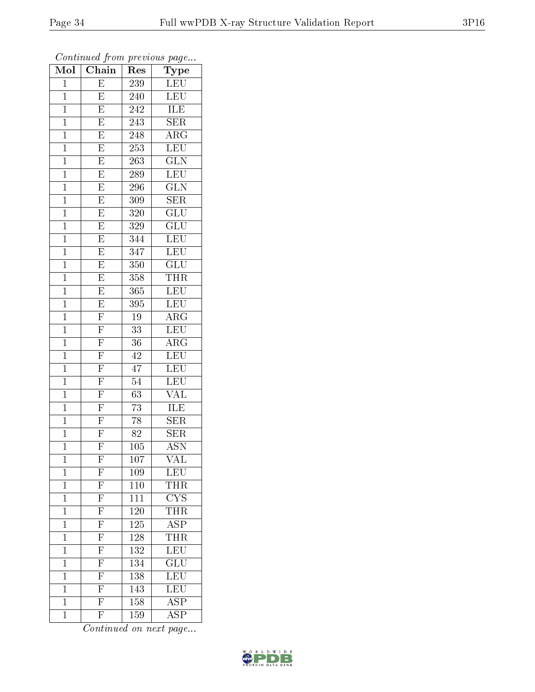| , , , , , ,<br>Mol | Chain                                                                   | $\mathbf{r}$ . $\sim$<br>$\bar{R}$ es | $r \sim r$<br>Type        |
|--------------------|-------------------------------------------------------------------------|---------------------------------------|---------------------------|
| $\mathbf 1$        | E                                                                       | 239                                   | $\overline{\text{LEU}}$   |
| $\overline{1}$     | E                                                                       | 240                                   | <b>LEU</b>                |
| $\overline{1}$     | $\overline{\mathrm{E}}$                                                 | 242                                   | <b>ILE</b>                |
| $\mathbf{1}$       | $\overline{\mathrm{E}}$                                                 | $\overline{2}$ 43                     | <b>SER</b>                |
| $\mathbf{1}$       | $\overline{E}$                                                          | 248                                   | $\overline{\rm{ARG}}$     |
| $\mathbf 1$        | $\overline{\mathrm{E}}$                                                 | 253                                   | LEU                       |
| $\mathbf 1$        | $\overline{\mathrm{E}}$                                                 | 263                                   | $\widetilde{{\rm GLN}}$   |
| $\overline{1}$     | $\overline{\mathrm{E}}$                                                 | 289                                   | $\overline{\text{LEU}}$   |
| $\mathbf{1}$       | $\overline{E}$                                                          | 296                                   | $\overline{\text{GLN}}$   |
| $\overline{1}$     | $\overline{E}$                                                          | 309                                   | $\overline{\text{SER}}$   |
| $\overline{1}$     | $\overline{E}$                                                          | 320                                   | GLU                       |
| $\overline{1}$     | $\overline{E}$                                                          | 329                                   | $\overline{\text{GLU}}$   |
| $\mathbf{1}$       | $\overline{E}$                                                          | 344                                   | <b>LEU</b>                |
| $\mathbf{1}$       | $\overline{\mathrm{E}}$                                                 | 347                                   | <b>LEU</b>                |
| $\mathbf{1}$       | $\overline{E}$                                                          | 350                                   | $\overline{\text{GLU}}$   |
| $\mathbf{1}$       | $\overline{\mathrm{E}}$                                                 | 358                                   | <b>THR</b>                |
| $\overline{1}$     | $\overline{E}$                                                          | 365                                   | LEU                       |
| $\mathbf{1}$       | $\overline{E}$                                                          | 395                                   | <b>LEU</b>                |
| $\mathbf{1}$       | $\frac{\overline{F}}{\overline{F}}$ $\frac{\overline{F}}{\overline{F}}$ | 19                                    | $\rm{ARG}$                |
| $\mathbf 1$        |                                                                         | 33                                    | LEU                       |
| $\overline{1}$     |                                                                         | $\overline{3}6$                       | $\rm{ARG}$                |
| $\overline{1}$     |                                                                         | 42                                    | LEU                       |
| $\mathbf 1$        | $\frac{\overline{F}}{\overline{F}}$                                     | $\overline{4}7$                       | <b>LEU</b>                |
| $\mathbf{1}$       |                                                                         | 54                                    | $\overline{\text{LEU}}$   |
| $\mathbf 1$        | $\overline{\mathrm{F}}$                                                 | 63                                    | VAL                       |
| $\mathbf 1$        | $\overline{\mathrm{F}}$                                                 | 73                                    | ILE                       |
| $\overline{1}$     | $\overline{F}$                                                          | $\overline{78}$                       | $\overline{\text{SER}}$   |
| $\mathbf{1}$       | $\overline{F}$                                                          | 82                                    | ${\rm SER}$               |
| $\overline{1}$     | $\overline{\mathrm{F}}$                                                 | 105                                   | $\overline{\mathrm{ASN}}$ |
| 1                  | $\boldsymbol{\mathrm{F}}$                                               | 107                                   | VAL                       |
| $\mathbf 1$        | $\frac{\overline{F}}{\overline{F}}$ $\frac{\overline{F}}{\overline{F}}$ | 109                                   | $\overline{\text{LEU}}$   |
| $\mathbf{1}$       |                                                                         | 110                                   | <b>THR</b>                |
| $\mathbf{1}$       |                                                                         | 111                                   | $\overline{\text{CYS}}$   |
| $\mathbf{1}$       |                                                                         | <b>120</b>                            | $\overline{\text{THR}}$   |
| $\mathbf{1}$       | $\frac{\overline{F}}{\overline{F}}$                                     | 125                                   | $\overline{\text{ASP}}$   |
| $\overline{1}$     |                                                                         | $\overline{128}$                      | $\overline{\text{THR}}$   |
| $\mathbf 1$        | $\overline{F}$                                                          | 132                                   | LEU                       |
| $\mathbf 1$        | $\overline{F}$                                                          | 134                                   | $\widetilde{{\rm GLU}}$   |
| $\mathbf 1$        |                                                                         | 138                                   | LEU                       |
| $\mathbf{1}$       | $\frac{\overline{\text{F}}}{\text{F}}$                                  | 143                                   | LEU                       |
| $\mathbf 1$        |                                                                         | 158                                   | $\overline{\text{ASP}}$   |
| $\mathbf{1}$       | $\overline{\mathrm{F}}$                                                 | 159                                   | $\overline{\text{ASP}}$   |

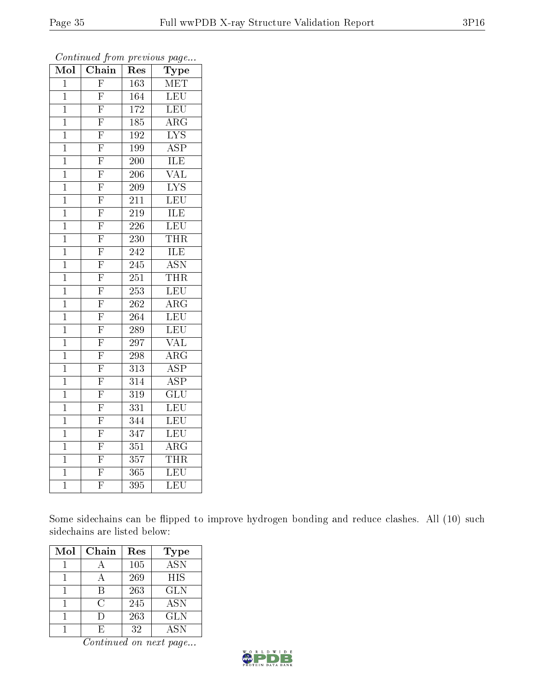| Mol            | Chain                   | $_{\rm Res}$     | Type                      |
|----------------|-------------------------|------------------|---------------------------|
| $\overline{1}$ | $\overline{\mathrm{F}}$ | 163              | MET                       |
| $\mathbf 1$    | $\overline{\mathrm{F}}$ | 164              | LEU                       |
| $\mathbf 1$    | $\overline{\mathrm{F}}$ | 172              | LEU                       |
| $\mathbf 1$    | $\overline{\mathrm{F}}$ | 185              | $\overline{\rm{ARG}}$     |
| $\overline{1}$ | $\overline{\mathrm{F}}$ | $\overline{192}$ | $\overline{\text{LYS}}$   |
| $\mathbf 1$    | $\overline{\mathrm{F}}$ | 199              | $\overline{\rm ASP}$      |
| $\mathbf{1}$   | $\overline{\mathrm{F}}$ | 200              | ILE                       |
| $\mathbf 1$    | $\overline{F}$          | 206              | $\overline{\text{VAL}}$   |
| $\mathbf 1$    | $\overline{\mathrm{F}}$ | 209              | $\overline{\text{LYS}}$   |
| $\mathbf 1$    | $\overline{\mathrm{F}}$ | 211              | LEU                       |
| $\mathbf{1}$   | $\overline{\mathrm{F}}$ | 219              | ILE                       |
| $\mathbf 1$    | $\overline{\mathrm{F}}$ | $\overline{226}$ | $\overline{\text{LEU}}$   |
| $\overline{1}$ | $\overline{\mathrm{F}}$ | 230              | THR                       |
| $\mathbf 1$    | $\overline{\mathrm{F}}$ | 242              | ILE                       |
| $\mathbf 1$    | $\overline{\mathrm{F}}$ | 245              | $\overline{\mathrm{ASN}}$ |
| $\mathbf 1$    | $\overline{\mathrm{F}}$ | 251              | <b>THR</b>                |
| $\overline{1}$ | $\overline{\mathrm{F}}$ | $\overline{253}$ | LEU                       |
| $\mathbf 1$    | $\overline{\mathrm{F}}$ | 262              | $A\overline{RG}$          |
| $\mathbf 1$    | $\overline{\mathrm{F}}$ | 264              | LEU                       |
| $\overline{1}$ | $\overline{\mathrm{F}}$ | 289              | <b>LEU</b>                |
| $\mathbf 1$    | $\overline{\mathrm{F}}$ | 297              | <b>VAL</b>                |
| $\mathbf 1$    | $\overline{\mathrm{F}}$ | 298              | $\overline{\rm{ARG}}$     |
| $\mathbf{1}$   | $\overline{\mathrm{F}}$ | 313              | $\overline{\text{ASP}}$   |
| $\mathbf 1$    | $\overline{\mathrm{F}}$ | $\overline{314}$ | $\overline{\text{ASP}}$   |
| $\overline{1}$ | $\overline{F}$          | 319              | $\overline{\text{GLU}}$   |
| $\mathbf{1}$   | $\overline{\mathrm{F}}$ | 331              | LEU                       |
| $\overline{1}$ | $\overline{\mathrm{F}}$ | 344              | $\overline{\text{LEU}}$   |
| $\mathbf 1$    | $\overline{\mathrm{F}}$ | 347              | $\overline{\text{LEU}}$   |
| $\overline{1}$ | $\overline{\mathrm{F}}$ | 351              | $\overline{\rm ARG}$      |
| $\mathbf{1}$   | $\overline{\mathrm{F}}$ | 357              | <b>THR</b>                |
| $\mathbf{1}$   | $\overline{\mathrm{F}}$ | $\overline{3}65$ | <b>LEU</b>                |
| $\overline{1}$ | $\overline{\mathrm{F}}$ | 395              | $\overline{\text{LEU}}$   |

Some sidechains can be flipped to improve hydrogen bonding and reduce clashes. All (10) such sidechains are listed below:

| Mol | Chain | Res | Type             |
|-----|-------|-----|------------------|
|     |       | 105 | $\overline{ASN}$ |
|     |       | 269 | <b>HIS</b>       |
|     | R     | 263 | <b>GLN</b>       |
|     | C     | 245 | <b>ASN</b>       |
|     |       | 263 | <b>GLN</b>       |
|     |       | 32  | <b>ASN</b>       |

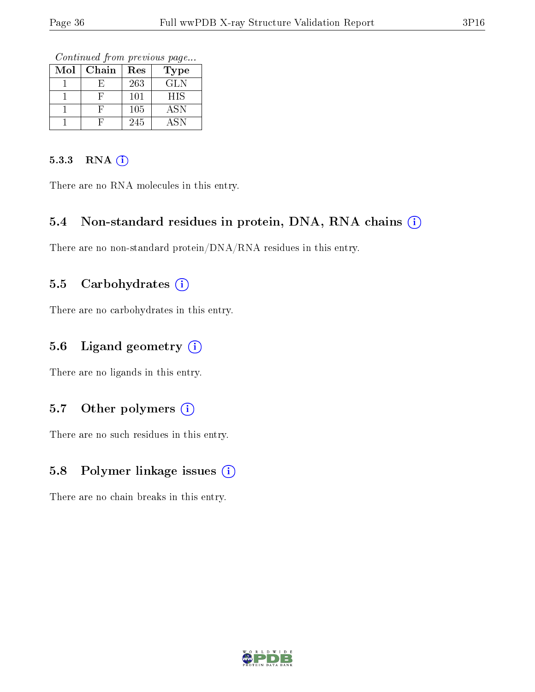Continued from previous page...

| Mol | Chain | Res | Type       |
|-----|-------|-----|------------|
|     |       | 263 | <b>GLN</b> |
|     |       | 101 | <b>HIS</b> |
|     |       | 105 | ASN        |
|     |       | 245 | <b>ASN</b> |

#### 5.3.3 RNA (i)

There are no RNA molecules in this entry.

#### 5.4 Non-standard residues in protein, DNA, RNA chains (i)

There are no non-standard protein/DNA/RNA residues in this entry.

#### 5.5 Carbohydrates  $(i)$

There are no carbohydrates in this entry.

#### 5.6 Ligand geometry  $(i)$

There are no ligands in this entry.

### 5.7 [O](https://www.wwpdb.org/validation/2017/XrayValidationReportHelp#nonstandard_residues_and_ligands)ther polymers  $(i)$

There are no such residues in this entry.

### 5.8 Polymer linkage issues (i)

There are no chain breaks in this entry.

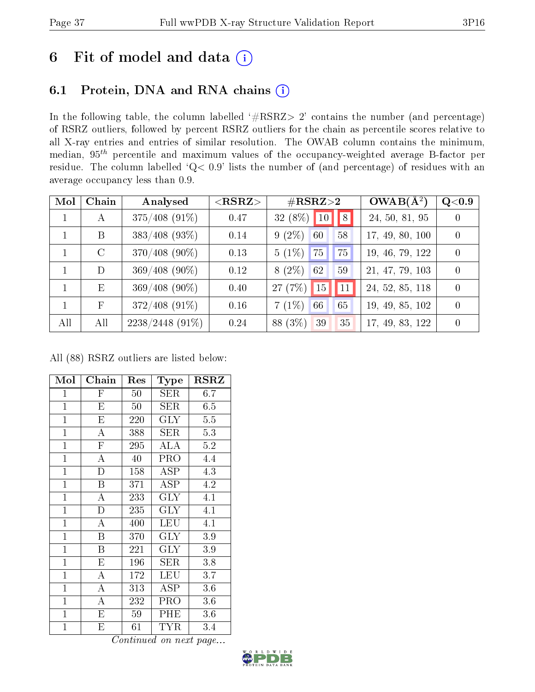# 6 Fit of model and data  $(i)$

### 6.1 Protein, DNA and RNA chains  $(i)$

In the following table, the column labelled  $#RSRZ> 2'$  contains the number (and percentage) of RSRZ outliers, followed by percent RSRZ outliers for the chain as percentile scores relative to all X-ray entries and entries of similar resolution. The OWAB column contains the minimum, median,  $95<sup>th</sup>$  percentile and maximum values of the occupancy-weighted average B-factor per residue. The column labelled ' $Q< 0.9$ ' lists the number of (and percentage) of residues with an average occupancy less than 0.9.

| Mol         | Chain       | Analysed          | ${ <\hspace{-1.5pt}{\mathrm{RSRZ}} \hspace{-1.5pt}>}$ | $\#\text{RSRZ}{>}2$                | $OWAB(\overline{A^2})$ | Q <sub>0.9</sub> |
|-------------|-------------|-------------------|-------------------------------------------------------|------------------------------------|------------------------|------------------|
| $\mathbf 1$ | A           | $375/408$ (91%)   | 0.47                                                  | $32(8\%)$ 10   8                   | 24, 50, 81, 95         | $\theta$         |
|             | B           | $383/408$ (93%)   | 0.14                                                  | $9(2\%)$<br>60<br>58               | 17, 49, 80, 100        | $\overline{0}$   |
|             | $\rm C$     | $370/408$ (90%)   | 0.13                                                  | $5(1\%)$<br>75<br>175 <sub>1</sub> | 19, 46, 79, 122        | $\Omega$         |
|             | D           | $369/408$ (90%)   | 0.12                                                  | $8(2\%)$<br>59<br>62               | 21, 47, 79, 103        | $\Omega$         |
|             | E           | $369/408(90\%)$   | 0.40                                                  | $27(7%)$ 15 11                     | 24, 52, 85, 118        | $\theta$         |
|             | $\mathbf F$ | $372/408$ (91%)   | 0.16                                                  | $7(1\%)$<br>65<br>66               | 19, 49, 85, 102        | $\overline{0}$   |
| All         | All         | $2238/2448$ (91%) | 0.24                                                  | 88 (3\%)<br>35<br>39               | 17, 49, 83, 122        | $\theta$         |

All (88) RSRZ outliers are listed below:

| Mol            | Chain                   | Res        | Type       | <b>RSRZ</b> |
|----------------|-------------------------|------------|------------|-------------|
| $\mathbf{1}$   | $\overline{\mathrm{F}}$ | 50         | SER        | 6.7         |
| $\mathbf{1}$   | E                       | 50         | SER.       | 6.5         |
| $\mathbf{1}$   | $\overline{\mathrm{E}}$ | 220        | <b>GLY</b> | 5.5         |
| $\mathbf{1}$   | $\mathbf{A}$            | 388        | <b>SER</b> | 5.3         |
| $\mathbf{1}$   | $\mathbf{F}$            | 295        | ALA        | 5.2         |
| $\overline{1}$ | $\overline{\rm A}$      | 40         | PRO        | 4.4         |
| $\overline{1}$ | $\overline{\rm D}$      | <b>158</b> | ASP        | 4.3         |
| $\mathbf{1}$   | B                       | 371        | <b>ASP</b> | 4.2         |
| $\mathbf{1}$   | A                       | 233        | <b>GLY</b> | 4.1         |
| $\mathbf{1}$   | $\overline{D}$          | 235        | <b>GLY</b> | 4.1         |
| $\mathbf{1}$   | А                       | 400        | LEU        | 4.1         |
| $\mathbf{1}$   | Β                       | 370        | $\rm GLY$  | 3.9         |
| $\mathbf{1}$   | B                       | 221        | <b>GLY</b> | 3.9         |
| $\mathbf{1}$   | E                       | 196        | <b>SER</b> | 3.8         |
| $\mathbf{1}$   | A                       | 172        | LEU        | 3.7         |
| $\mathbf{1}$   | А                       | 313        | <b>ASP</b> | 3.6         |
| $\mathbf{1}$   | A                       | 232        | PRO        | 3.6         |
| $\mathbf{1}$   | Е                       | 59         | PHE        | 3.6         |
| $\mathbf 1$    | Е                       | 61         | TYR        | 3.4         |

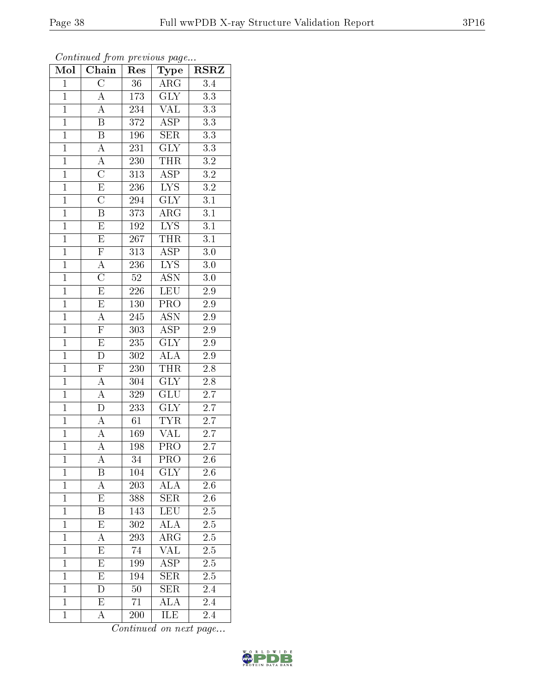| $\overline{\text{Mol}}$ | Chain                   | Res              | $_{\rm Type}$             | <b>RSRZ</b>      |
|-------------------------|-------------------------|------------------|---------------------------|------------------|
| $\mathbf{1}$            | $\overline{\rm C}$      | 36               | $\overline{\text{ARG}}$   | $\overline{3.4}$ |
| $\mathbf{1}$            | $\boldsymbol{A}$        | 173              | GLY                       | 3.3              |
| $\overline{1}$          | A                       | 234              | $\overline{\text{VAL}}$   | $\overline{3.3}$ |
| $\overline{1}$          | $\overline{\mathrm{B}}$ | 372              | $\overline{\rm ASP}$      | $3.3\,$          |
| $\overline{1}$          | $\overline{\mathrm{B}}$ | $196\,$          | $\overline{\text{SER}}$   | $\overline{3.3}$ |
| $\mathbf{1}$            | $\mathbf{A}$            | 231              | GLY                       | $3.3\,$          |
| $\mathbf{1}$            | $\boldsymbol{A}$        | 230              | <b>THR</b>                | $\!3.2\!$        |
| $\overline{1}$          | $\overline{C}$          | $\overline{313}$ | $\overline{\text{ASP}}$   | $\overline{3.2}$ |
| $\overline{1}$          | $\overline{\mathrm{E}}$ | 236              | $\overline{\text{LYS}}$   | $\overline{3.2}$ |
| $\overline{1}$          | $\overline{\rm C}$      | 294              | $\overline{\text{GLY}}$   | $\overline{3.1}$ |
| $\mathbf{1}$            | B                       | 373              | $\rm{ARG}$                | 3.1              |
| $\overline{1}$          | $\overline{\mathrm{E}}$ | $\overline{192}$ | $\overline{\text{LYS}}$   | $\overline{3.1}$ |
| $\overline{1}$          | $\overline{E}$          | 267              | <b>THR</b>                | $\overline{3.1}$ |
| $\overline{1}$          | $\overline{F}$          | $\overline{313}$ | $\overline{\text{ASP}}$   | 3.0              |
| $\overline{1}$          | $\overline{A}$          | $\overline{236}$ | $\overline{\text{LYS}}$   | 3.0              |
| $\mathbf{1}$            | $\overline{\rm C}$      | $\overline{52}$  | $\overline{\mathrm{ASN}}$ | $\overline{3.0}$ |
| $\overline{1}$          | $\overline{\mathrm{E}}$ | <b>226</b>       | $\overline{\text{LEU}}$   | $2.9\,$          |
| $\overline{1}$          | $\overline{E}$          | $130\,$          | $\overline{\text{PRO}}$   | 2.9              |
| $\overline{1}$          | $\overline{A}$          | 245              | <b>ASN</b>                | 2.9              |
| $\overline{1}$          | $\overline{\mathrm{F}}$ | 303              | $\overline{\text{ASP}}$   | $\overline{2.9}$ |
| $\overline{1}$          | $\overline{\mathrm{E}}$ | $235\,$          | <b>GLY</b>                | $2.9\,$          |
| $\overline{1}$          | $\overline{\rm D}$      | 302              | $\overline{\rm ALA}$      | $\overline{2.9}$ |
| $\overline{1}$          | $\overline{F}$          | 230              | <b>THR</b>                | 2.8              |
| $\overline{1}$          | $\overline{A}$          | 304              | $\overline{\text{GLY}}$   | $2.8\,$          |
| $\mathbf{1}$            | $\overline{A}$          | 329              | $\overline{{\rm GLU}}$    | 2.7              |
| $\mathbf{1}$            | $\overline{D}$          | 233              | <b>GLY</b>                | $\overline{2.7}$ |
| $\overline{1}$          | $\overline{A}$          | $\overline{61}$  | $\overline{\text{TYR}}$   | $\overline{2.7}$ |
| $\mathbf{1}$            | $\overline{A}$          | 169              | $\overline{\text{VAL}}$   | $\overline{2.7}$ |
| $\overline{1}$          | $\overline{A}$          | 198              | $\overline{\mathrm{PRO}}$ | $\overline{2.7}$ |
| 1                       | А                       | 34               | PRO                       | $^{2.6}$         |
| $\mathbf{1}$            | Β                       | 104              | <b>GLY</b>                | 2.6              |
| $\mathbf{1}$            | $\overline{\rm A}$      | 203              | $\rm ALA$                 | 2.6              |
| $\mathbf{1}$            | E                       | 388              | <b>SER</b>                | 2.6              |
| $\mathbf 1$             | $\overline{\mathrm{B}}$ | 143              | LEU                       | 2.5              |
| $\overline{1}$          | E                       | 302              | $\overline{\rm ALA}$      | 2.5              |
| $\mathbf{1}$            | A                       | 293              | ${\rm ARG}$               | $\overline{2.5}$ |
| $\overline{1}$          | $\overline{E}$          | 74               | $\overline{\text{VAL}}$   | $\overline{2.5}$ |
| $\overline{1}$          | E                       | 199              | ASP                       | 2.5              |
| $\overline{1}$          | $\overline{\mathrm{E}}$ | 194              | $\overline{\text{SER}}$   | 2.5              |
| $\mathbf{1}$            | D                       | $50\,$           | <b>SER</b>                | 2.4              |
| $\overline{1}$          | E                       | 71               | $\rm ALA$                 | 2.4              |
| $\mathbf{1}$            | A                       | 200              | ILE                       | 2.4              |

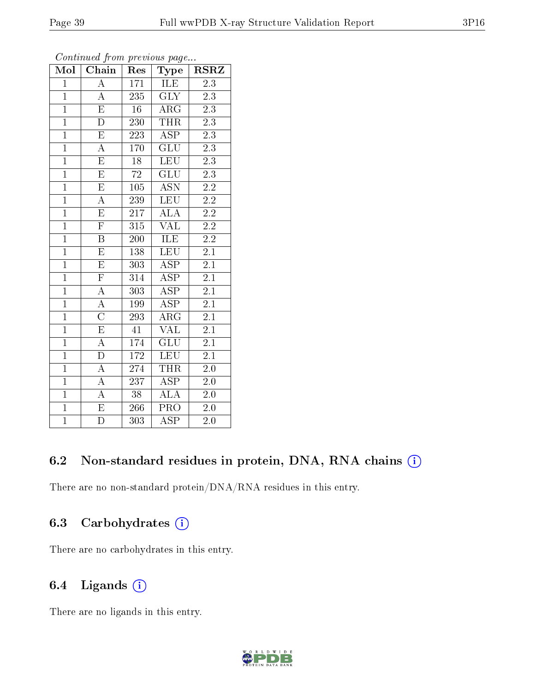| Mol            | Chain                   | Res              | Type                      | $_{\rm RSRZ}$    |
|----------------|-------------------------|------------------|---------------------------|------------------|
| $\mathbf{1}$   | $\overline{\rm A}$      | 171              | ILE                       | 2.3              |
| $\overline{1}$ | $\boldsymbol{A}$        | 235              | <b>GLY</b>                | 2.3              |
| $\overline{1}$ | $\overline{\mathrm{E}}$ | $\overline{16}$  | $\rm{ARG}$                | $\overline{2.3}$ |
| $\mathbf{1}$   | $\overline{\rm D}$      | 230              | <b>THR</b>                | 2.3              |
| $\overline{1}$ | $\overline{\mathrm{E}}$ | 223              | $\overline{\text{ASP}}$   | $\overline{2.3}$ |
| $\overline{1}$ | $\overline{\rm A}$      | 170              | $\overline{\text{GLU}}$   | 2.3              |
| $\overline{1}$ | $\overline{\mathrm{E}}$ | $\overline{18}$  | <b>LEU</b>                | $\overline{2.3}$ |
| $\overline{1}$ | $\overline{\mathrm{E}}$ | $\overline{72}$  | GLU                       | $\overline{2.3}$ |
| $\overline{1}$ | $\mathbf E$             | 105              | <b>ASN</b>                | $2.2\,$          |
| $\overline{1}$ | $\overline{\rm A}$      | 239              | <b>LEU</b>                | $\overline{2.2}$ |
| $\overline{1}$ | $\overline{\mathrm{E}}$ | 217              | $\overline{\rm ALA}$      | $\overline{2.2}$ |
| $\overline{1}$ | $\overline{\mathrm{F}}$ | $\overline{3}15$ | $\overline{\text{VAL}}$   | $\overline{2.2}$ |
| $\overline{1}$ | $\overline{\mathrm{B}}$ | $200\,$          | ILE                       | 2.2              |
| $\overline{1}$ | $\overline{\mathrm{E}}$ | 138              | $\overline{\text{LEU}}$   | $2\overline{.1}$ |
| $\overline{1}$ | $\overline{\mathrm{E}}$ | 303              | <b>ASP</b>                | $\overline{2.1}$ |
| $\overline{1}$ | $\overline{\mathrm{F}}$ | 314              | <b>ASP</b>                | $\overline{2.1}$ |
| $\overline{1}$ | $\overline{A}$          | 303              | $\overline{\text{ASP}}$   | $\overline{2.1}$ |
| $\overline{1}$ | $\overline{\rm A}$      | 199              | <b>ASP</b>                | $\overline{2.1}$ |
| $\overline{1}$ | $\overline{\rm C}$      | 293              | $\rm{ARG}$                | 2.1              |
| $\overline{1}$ | $\overline{\mathrm{E}}$ | 41               | <b>VAL</b>                | $\overline{2.1}$ |
| $\overline{1}$ | $\overline{\rm A}$      | 174              | $\overline{\mathrm{GLU}}$ | $\overline{2.1}$ |
| $\overline{1}$ | $\overline{\mathrm{D}}$ | 172              | <b>LEU</b>                | $\overline{2.1}$ |
| $\mathbf{1}$   | $\overline{\rm A}$      | 274              | THR                       | $2.0\,$          |
| $\overline{1}$ | $\overline{A}$          | $\overline{237}$ | $\overline{\text{ASP}}$   | $2.0\,$          |
| $\overline{1}$ | $\overline{A}$          | $38\,$           | ALA                       | $2.0\,$          |
| $\overline{1}$ | $\overline{\mathrm{E}}$ | 266              | PRO                       | $2.0\,$          |
| $\overline{1}$ | $\overline{\rm D}$      | 303              | $\overline{\text{ASP}}$   | $\overline{2.0}$ |

### 6.2 Non-standard residues in protein, DNA, RNA chains  $(i)$

There are no non-standard protein/DNA/RNA residues in this entry.

### 6.3 Carbohydrates  $(i)$

There are no carbohydrates in this entry.

### 6.4 Ligands  $(i)$

There are no ligands in this entry.